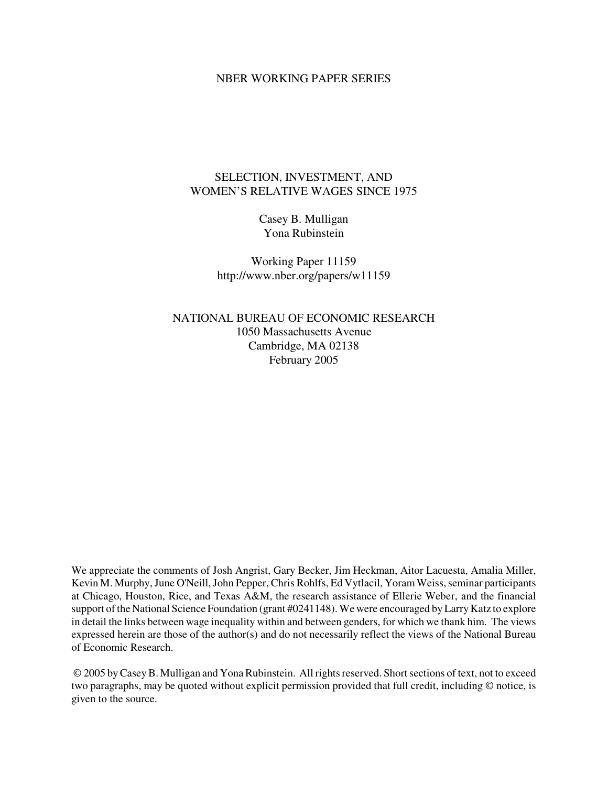### NBER WORKING PAPER SERIES

## SELECTION, INVESTMENT, AND WOMEN'S RELATIVE WAGES SINCE 1975

Casey B. Mulligan Yona Rubinstein

Working Paper 11159 http://www.nber.org/papers/w11159

NATIONAL BUREAU OF ECONOMIC RESEARCH 1050 Massachusetts Avenue Cambridge, MA 02138 February 2005

We appreciate the comments of Josh Angrist, Gary Becker, Jim Heckman, Aitor Lacuesta, Amalia Miller, Kevin M. Murphy, June O'Neill, John Pepper, Chris Rohlfs, Ed Vytlacil, Yoram Weiss, seminar participants at Chicago, Houston, Rice, and Texas A&M, the research assistance of Ellerie Weber, and the financial support of the National Science Foundation (grant #0241148). We were encouraged by Larry Katz to explore in detail the links between wage inequality within and between genders, for which we thank him. The views expressed herein are those of the author(s) and do not necessarily reflect the views of the National Bureau of Economic Research.

© 2005 byCaseyB. Mulligan and YonaRubinstein. All rightsreserved. Shortsections of text, not to exceed two paragraphs, may be quoted without explicit permission provided that full credit, including © notice, is given to the source.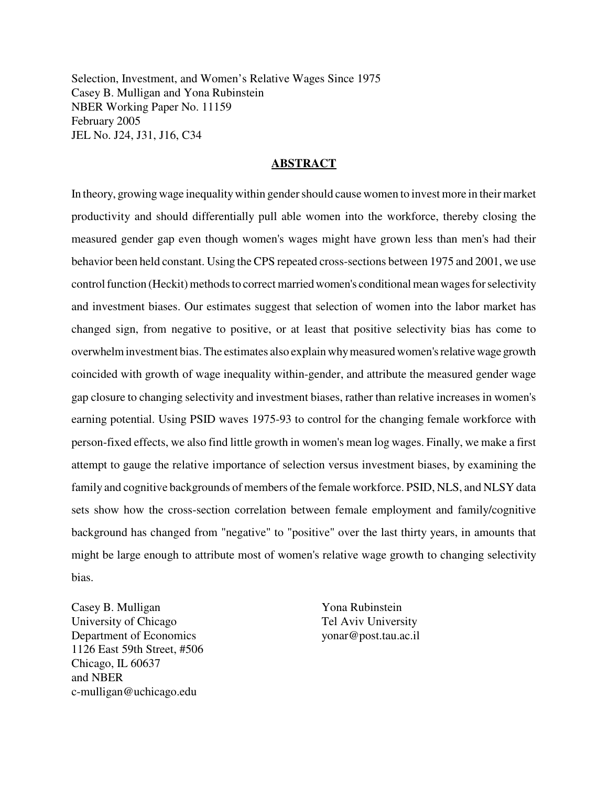Selection, Investment, and Women's Relative Wages Since 1975 Casey B. Mulligan and Yona Rubinstein NBER Working Paper No. 11159 February 2005 JEL No. J24, J31, J16, C34

## **ABSTRACT**

In theory, growing wage inequality within gender should cause women to invest more in their market productivity and should differentially pull able women into the workforce, thereby closing the measured gender gap even though women's wages might have grown less than men's had their behavior been held constant. Using theCPS repeated cross-sections between 1975 and 2001, we use control function (Heckit) methods to correct married women's conditional mean wages for selectivity and investment biases. Our estimates suggest that selection of women into the labor market has changed sign, from negative to positive, or at least that positive selectivity bias has come to overwhelminvestment bias.The estimates also explain whymeasured women'srelativewage growth coincided with growth of wage inequality within-gender, and attribute the measured gender wage gap closure to changing selectivity and investment biases, rather than relative increases in women's earning potential. Using PSID waves 1975-93 to control for the changing female workforce with person-fixed effects, we also find little growth in women's mean log wages. Finally, we make a first attempt to gauge the relative importance of selection versus investment biases, by examining the family and cognitive backgrounds of members of the female workforce. PSID, NLS, and NLSY data sets show how the cross-section correlation between female employment and family/cognitive background has changed from "negative" to "positive" over the last thirty years, in amounts that might be large enough to attribute most of women's relative wage growth to changing selectivity bias.

Casey B. Mulligan University of Chicago Department of Economics 1126 East 59th Street, #506 Chicago, IL 60637 and NBER c-mulligan@uchicago.edu

Yona Rubinstein Tel Aviv University yonar@post.tau.ac.il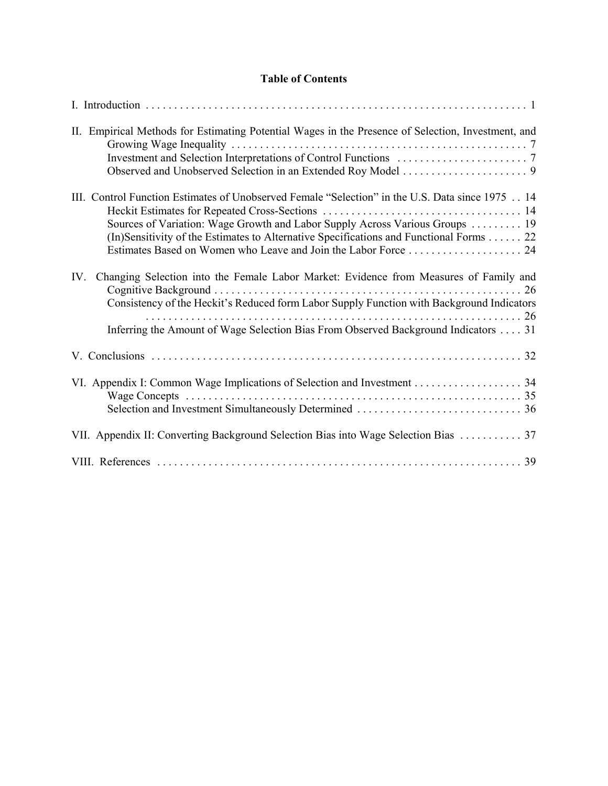# **Table of Contents**

| II. Empirical Methods for Estimating Potential Wages in the Presence of Selection, Investment, and                                                                                                                                                                       |
|--------------------------------------------------------------------------------------------------------------------------------------------------------------------------------------------------------------------------------------------------------------------------|
| III. Control Function Estimates of Unobserved Female "Selection" in the U.S. Data since 1975 14<br>Sources of Variation: Wage Growth and Labor Supply Across Various Groups 19<br>(In)Sensitivity of the Estimates to Alternative Specifications and Functional Forms 22 |
| Changing Selection into the Female Labor Market: Evidence from Measures of Family and<br>IV.<br>Consistency of the Heckit's Reduced form Labor Supply Function with Background Indicators                                                                                |
| Inferring the Amount of Wage Selection Bias From Observed Background Indicators  31                                                                                                                                                                                      |
|                                                                                                                                                                                                                                                                          |
|                                                                                                                                                                                                                                                                          |
| VII. Appendix II: Converting Background Selection Bias into Wage Selection Bias  37                                                                                                                                                                                      |
|                                                                                                                                                                                                                                                                          |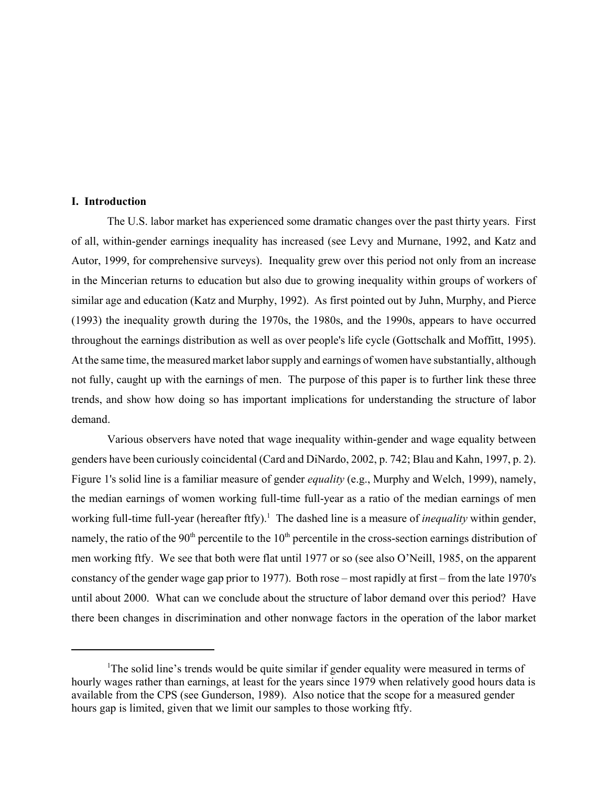## **I. Introduction**

The U.S. labor market has experienced some dramatic changes over the past thirty years. First of all, within-gender earnings inequality has increased (see Levy and Murnane, 1992, and Katz and Autor, 1999, for comprehensive surveys). Inequality grew over this period not only from an increase in the Mincerian returns to education but also due to growing inequality within groups of workers of similar age and education (Katz and Murphy, 1992). As first pointed out by Juhn, Murphy, and Pierce (1993) the inequality growth during the 1970s, the 1980s, and the 1990s, appears to have occurred throughout the earnings distribution as well as over people's life cycle (Gottschalk and Moffitt, 1995). At the same time, the measured market labor supply and earnings of women have substantially, although not fully, caught up with the earnings of men. The purpose of this paper is to further link these three trends, and show how doing so has important implications for understanding the structure of labor demand.

Various observers have noted that wage inequality within-gender and wage equality between genders have been curiously coincidental (Card and DiNardo, 2002, p. 742; Blau and Kahn, 1997, p. 2). Figure 1's solid line is a familiar measure of gender *equality* (e.g., Murphy and Welch, 1999), namely, the median earnings of women working full-time full-year as a ratio of the median earnings of men working full-time full-year (hereafter ftfy).<sup>1</sup> The dashed line is a measure of *inequality* within gender, namely, the ratio of the  $90<sup>th</sup>$  percentile to the  $10<sup>th</sup>$  percentile in the cross-section earnings distribution of men working ftfy. We see that both were flat until 1977 or so (see also O'Neill, 1985, on the apparent constancy of the gender wage gap prior to 1977). Both rose – most rapidly at first – from the late 1970's until about 2000. What can we conclude about the structure of labor demand over this period? Have there been changes in discrimination and other nonwage factors in the operation of the labor market

<sup>&</sup>lt;sup>1</sup>The solid line's trends would be quite similar if gender equality were measured in terms of hourly wages rather than earnings, at least for the years since 1979 when relatively good hours data is available from the CPS (see Gunderson, 1989). Also notice that the scope for a measured gender hours gap is limited, given that we limit our samples to those working ftfy.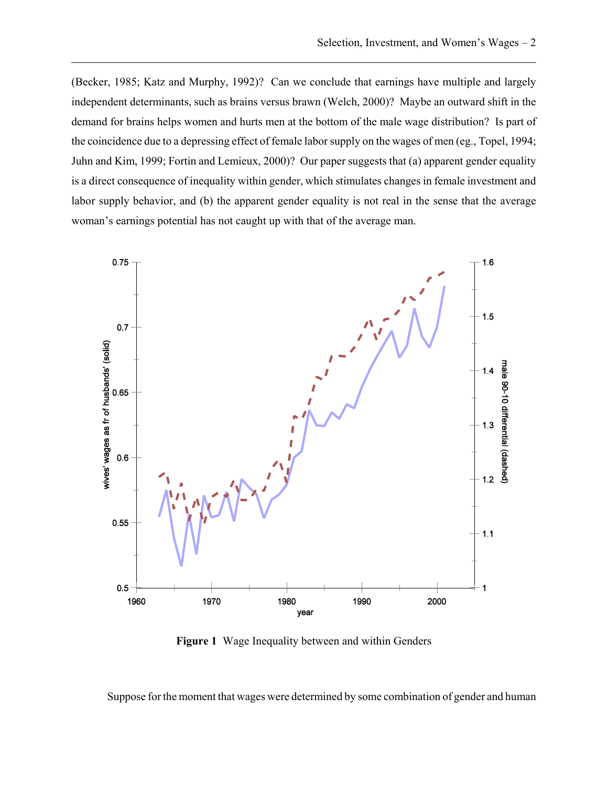(Becker, 1985; Katz and Murphy, 1992)? Can we conclude that earnings have multiple and largely independent determinants, such as brains versus brawn (Welch, 2000)? Maybe an outward shift in the demand for brains helps women and hurts men at the bottom of the male wage distribution? Is part of the coincidence due to a depressing effect of female labor supply on the wages of men (eg., Topel, 1994; Juhn and Kim, 1999; Fortin and Lemieux, 2000)? Our paper suggests that (a) apparent gender equality is a direct consequence of inequality within gender, which stimulates changes in female investment and labor supply behavior, and (b) the apparent gender equality is not real in the sense that the average woman's earnings potential has not caught up with that of the average man.



**Figure 1** Wage Inequality between and within Genders

Suppose for the moment that wages were determined by some combination of gender and human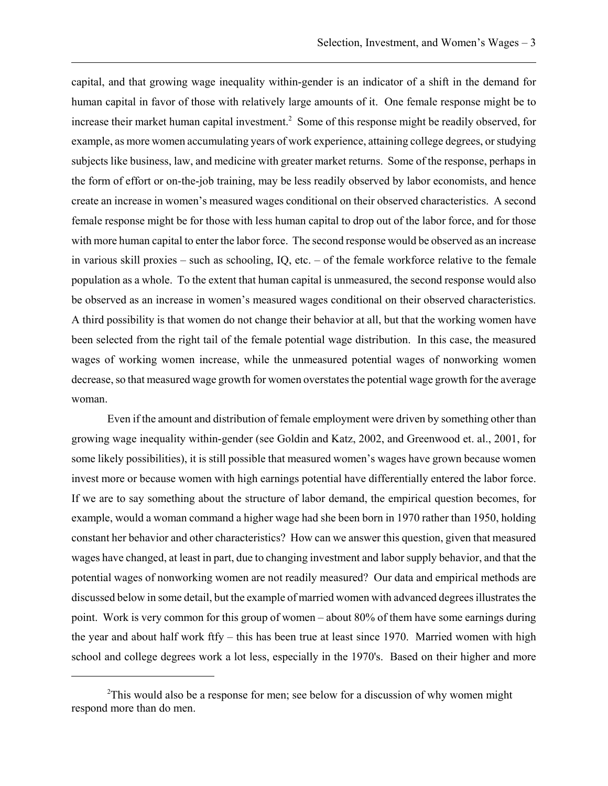capital, and that growing wage inequality within-gender is an indicator of a shift in the demand for human capital in favor of those with relatively large amounts of it. One female response might be to increase their market human capital investment.<sup>2</sup> Some of this response might be readily observed, for example, as more women accumulating years of work experience, attaining college degrees, or studying subjects like business, law, and medicine with greater market returns. Some of the response, perhaps in the form of effort or on-the-job training, may be less readily observed by labor economists, and hence create an increase in women's measured wages conditional on their observed characteristics. A second female response might be for those with less human capital to drop out of the labor force, and for those with more human capital to enter the labor force. The second response would be observed as an increase in various skill proxies – such as schooling, IQ, etc. – of the female workforce relative to the female population as a whole. To the extent that human capital is unmeasured, the second response would also be observed as an increase in women's measured wages conditional on their observed characteristics. A third possibility is that women do not change their behavior at all, but that the working women have been selected from the right tail of the female potential wage distribution. In this case, the measured wages of working women increase, while the unmeasured potential wages of nonworking women decrease, so that measured wage growth for women overstates the potential wage growth for the average woman.

Even if the amount and distribution of female employment were driven by something other than growing wage inequality within-gender (see Goldin and Katz, 2002, and Greenwood et. al., 2001, for some likely possibilities), it is still possible that measured women's wages have grown because women invest more or because women with high earnings potential have differentially entered the labor force. If we are to say something about the structure of labor demand, the empirical question becomes, for example, would a woman command a higher wage had she been born in 1970 rather than 1950, holding constant her behavior and other characteristics? How can we answer this question, given that measured wages have changed, at least in part, due to changing investment and labor supply behavior, and that the potential wages of nonworking women are not readily measured? Our data and empirical methods are discussed below in some detail, but the example of married women with advanced degrees illustrates the point. Work is very common for this group of women – about 80% of them have some earnings during the year and about half work ftfy – this has been true at least since 1970. Married women with high school and college degrees work a lot less, especially in the 1970's. Based on their higher and more

 $2$ This would also be a response for men; see below for a discussion of why women might respond more than do men.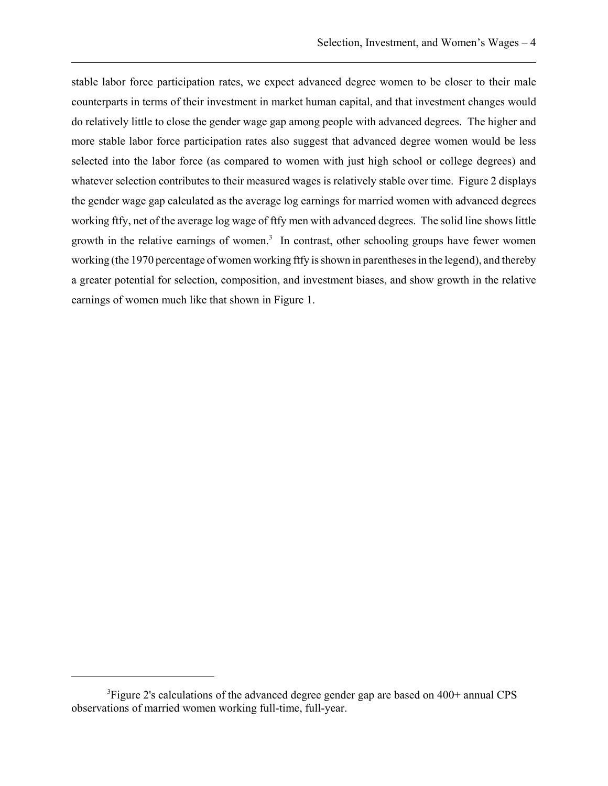stable labor force participation rates, we expect advanced degree women to be closer to their male counterparts in terms of their investment in market human capital, and that investment changes would do relatively little to close the gender wage gap among people with advanced degrees. The higher and more stable labor force participation rates also suggest that advanced degree women would be less selected into the labor force (as compared to women with just high school or college degrees) and whatever selection contributes to their measured wages is relatively stable over time. Figure 2 displays the gender wage gap calculated as the average log earnings for married women with advanced degrees working ftfy, net of the average log wage of ftfy men with advanced degrees. The solid line shows little growth in the relative earnings of women.<sup>3</sup> In contrast, other schooling groups have fewer women working (the 1970 percentage of women working ftfy is shown in parentheses in the legend), and thereby a greater potential for selection, composition, and investment biases, and show growth in the relative earnings of women much like that shown in Figure 1.

<sup>&</sup>lt;sup>3</sup>Figure 2's calculations of the advanced degree gender gap are based on 400+ annual CPS observations of married women working full-time, full-year.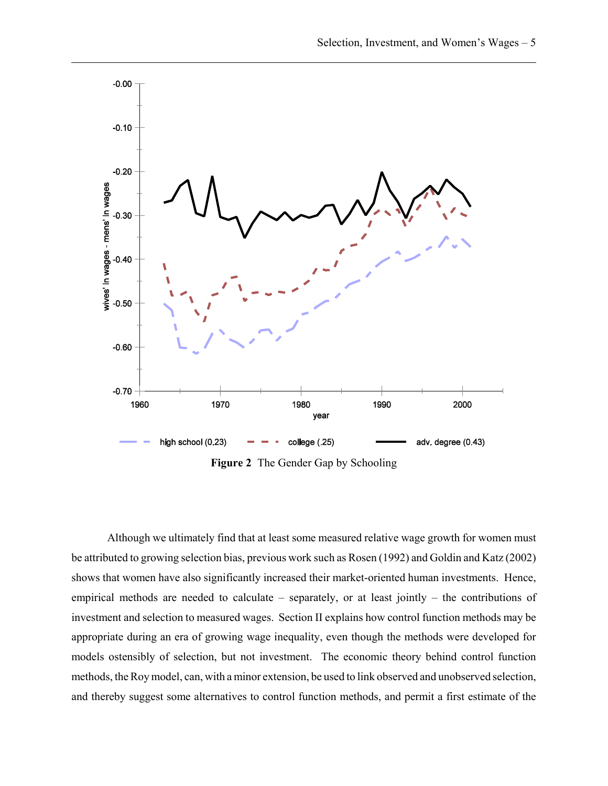

**Figure 2** The Gender Gap by Schooling

Although we ultimately find that at least some measured relative wage growth for women must be attributed to growing selection bias, previous work such as Rosen (1992) and Goldin and Katz (2002) shows that women have also significantly increased their market-oriented human investments. Hence, empirical methods are needed to calculate – separately, or at least jointly – the contributions of investment and selection to measured wages. Section II explains how control function methods may be appropriate during an era of growing wage inequality, even though the methods were developed for models ostensibly of selection, but not investment. The economic theory behind control function methods, the Roy model, can, with a minor extension, be used to link observed and unobserved selection, and thereby suggest some alternatives to control function methods, and permit a first estimate of the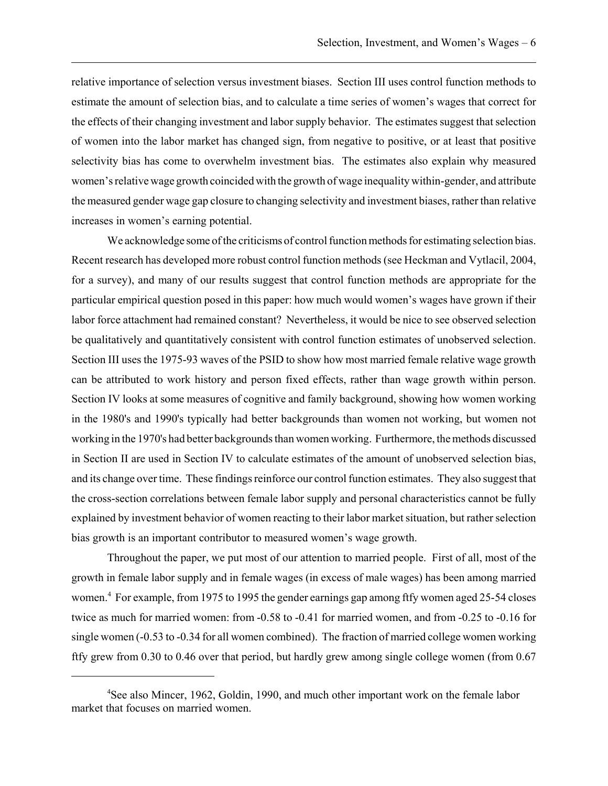relative importance of selection versus investment biases. Section III uses control function methods to estimate the amount of selection bias, and to calculate a time series of women's wages that correct for the effects of their changing investment and labor supply behavior. The estimates suggest that selection of women into the labor market has changed sign, from negative to positive, or at least that positive selectivity bias has come to overwhelm investment bias. The estimates also explain why measured women's relative wage growth coincided with the growth of wage inequality within-gender, and attribute the measured gender wage gap closure to changing selectivity and investment biases, rather than relative increases in women's earning potential.

We acknowledge some of the criticisms of control function methods for estimating selection bias. Recent research has developed more robust control function methods (see Heckman and Vytlacil, 2004, for a survey), and many of our results suggest that control function methods are appropriate for the particular empirical question posed in this paper: how much would women's wages have grown if their labor force attachment had remained constant? Nevertheless, it would be nice to see observed selection be qualitatively and quantitatively consistent with control function estimates of unobserved selection. Section III uses the 1975-93 waves of the PSID to show how most married female relative wage growth can be attributed to work history and person fixed effects, rather than wage growth within person. Section IV looks at some measures of cognitive and family background, showing how women working in the 1980's and 1990's typically had better backgrounds than women not working, but women not working in the 1970's had better backgrounds than women working. Furthermore, the methods discussed in Section II are used in Section IV to calculate estimates of the amount of unobserved selection bias, and its change over time. These findings reinforce our control function estimates. They also suggest that the cross-section correlations between female labor supply and personal characteristics cannot be fully explained by investment behavior of women reacting to their labor market situation, but rather selection bias growth is an important contributor to measured women's wage growth.

Throughout the paper, we put most of our attention to married people. First of all, most of the growth in female labor supply and in female wages (in excess of male wages) has been among married women.4 For example, from 1975 to 1995 the gender earnings gap among ftfy women aged 25-54 closes twice as much for married women: from -0.58 to -0.41 for married women, and from -0.25 to -0.16 for single women (-0.53 to -0.34 for all women combined). The fraction of married college women working ftfy grew from 0.30 to 0.46 over that period, but hardly grew among single college women (from 0.67

<sup>&</sup>lt;sup>4</sup>See also Mincer, 1962, Goldin, 1990, and much other important work on the female labor market that focuses on married women.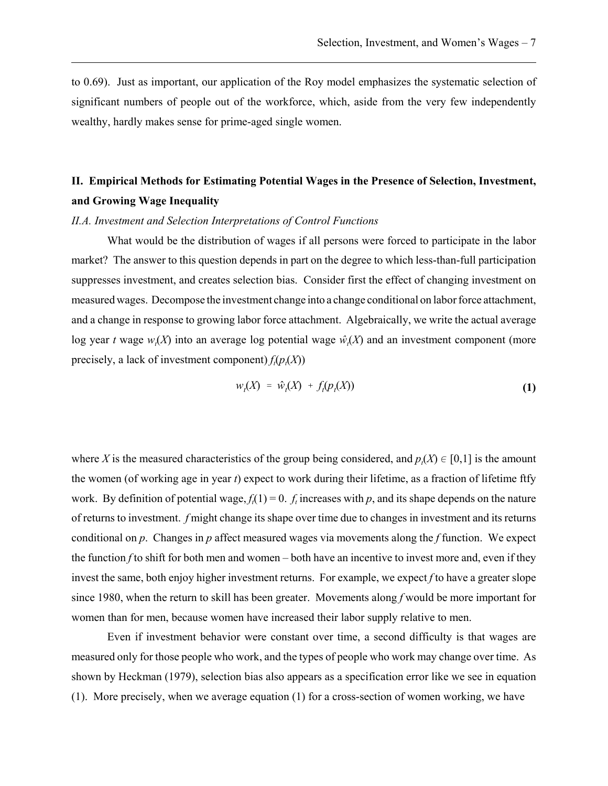to 0.69). Just as important, our application of the Roy model emphasizes the systematic selection of significant numbers of people out of the workforce, which, aside from the very few independently wealthy, hardly makes sense for prime-aged single women.

# **II. Empirical Methods for Estimating Potential Wages in the Presence of Selection, Investment, and Growing Wage Inequality**

### *II.A. Investment and Selection Interpretations of Control Functions*

What would be the distribution of wages if all persons were forced to participate in the labor market? The answer to this question depends in part on the degree to which less-than-full participation suppresses investment, and creates selection bias. Consider first the effect of changing investment on measured wages. Decompose the investment change into a change conditional on labor force attachment, and a change in response to growing labor force attachment. Algebraically, we write the actual average log year *t* wage  $w_t(X)$  into an average log potential wage  $\hat{w}_t(X)$  and an investment component (more precisely, a lack of investment component)  $f_t(p_t(X))$ 

$$
w_t(X) = \hat{w}_t(X) + f_t(p_t(X)) \tag{1}
$$

where *X* is the measured characteristics of the group being considered, and  $p_t(X) \in [0,1]$  is the amount the women (of working age in year *t*) expect to work during their lifetime, as a fraction of lifetime ftfy work. By definition of potential wage,  $f_t(1) = 0$ .  $f_t$  increases with  $p$ , and its shape depends on the nature of returns to investment. *f* might change its shape over time due to changes in investment and its returns conditional on *p*. Changes in *p* affect measured wages via movements along the *f* function. We expect the function *f* to shift for both men and women – both have an incentive to invest more and, even if they invest the same, both enjoy higher investment returns. For example, we expect *f* to have a greater slope since 1980, when the return to skill has been greater. Movements along *f* would be more important for women than for men, because women have increased their labor supply relative to men.

Even if investment behavior were constant over time, a second difficulty is that wages are measured only for those people who work, and the types of people who work may change over time. As shown by Heckman (1979), selection bias also appears as a specification error like we see in equation (1). More precisely, when we average equation (1) for a cross-section of women working, we have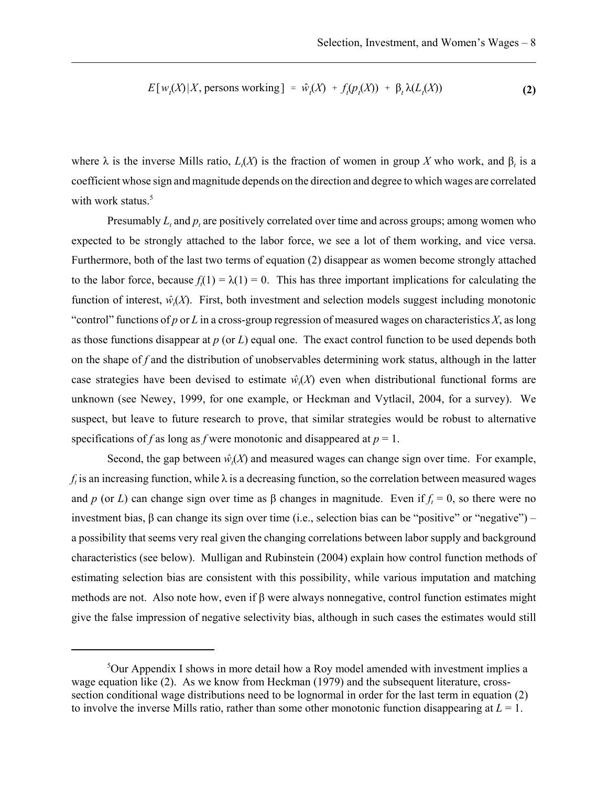$$
E[w_t(X)|X, \text{ persons working}] = \hat{w}_t(X) + f_t(p_t(X)) + \beta_t \lambda(L_t(X))
$$
\n(2)

where  $\lambda$  is the inverse Mills ratio,  $L_t(X)$  is the fraction of women in group X who work, and  $\beta_t$  is a coefficient whose sign and magnitude depends on the direction and degree to which wages are correlated with work status.<sup>5</sup>

Presumably  $L_t$  and  $p_t$  are positively correlated over time and across groups; among women who expected to be strongly attached to the labor force, we see a lot of them working, and vice versa. Furthermore, both of the last two terms of equation (2) disappear as women become strongly attached to the labor force, because  $f<sub>i</sub>(1) = \lambda(1) = 0$ . This has three important implications for calculating the function of interest,  $\hat{w}_t(X)$ . First, both investment and selection models suggest including monotonic "control" functions of *p* or *L* in a cross-group regression of measured wages on characteristics  $X$ , as long as those functions disappear at *p* (or *L*) equal one. The exact control function to be used depends both on the shape of *f* and the distribution of unobservables determining work status, although in the latter case strategies have been devised to estimate  $\hat{w}_t(X)$  even when distributional functional forms are unknown (see Newey, 1999, for one example, or Heckman and Vytlacil, 2004, for a survey). We suspect, but leave to future research to prove, that similar strategies would be robust to alternative specifications of *f* as long as *f* were monotonic and disappeared at  $p = 1$ .

Second, the gap between  $\hat{w}_t(X)$  and measured wages can change sign over time. For example,  $f_t$  is an increasing function, while  $\lambda$  is a decreasing function, so the correlation between measured wages and *p* (or *L*) can change sign over time as  $\beta$  changes in magnitude. Even if  $f_t = 0$ , so there were no investment bias, β can change its sign over time (i.e., selection bias can be "positive" or "negative") – a possibility that seems very real given the changing correlations between labor supply and background characteristics (see below). Mulligan and Rubinstein (2004) explain how control function methods of estimating selection bias are consistent with this possibility, while various imputation and matching methods are not. Also note how, even if β were always nonnegative, control function estimates might give the false impression of negative selectivity bias, although in such cases the estimates would still

 $5$ Our Appendix I shows in more detail how a Roy model amended with investment implies a wage equation like (2). As we know from Heckman (1979) and the subsequent literature, crosssection conditional wage distributions need to be lognormal in order for the last term in equation (2) to involve the inverse Mills ratio, rather than some other monotonic function disappearing at  $L = 1$ .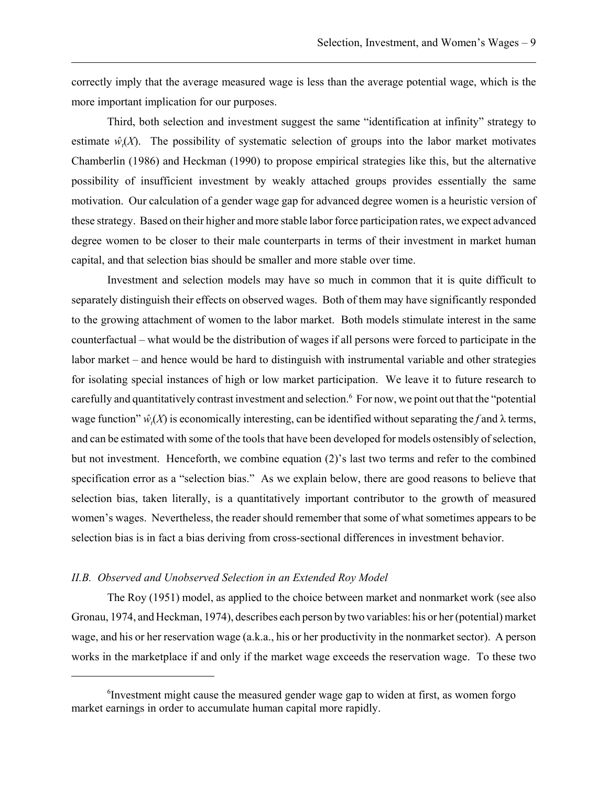correctly imply that the average measured wage is less than the average potential wage, which is the more important implication for our purposes.

Third, both selection and investment suggest the same "identification at infinity" strategy to estimate  $\hat{w}_t(X)$ . The possibility of systematic selection of groups into the labor market motivates Chamberlin (1986) and Heckman (1990) to propose empirical strategies like this, but the alternative possibility of insufficient investment by weakly attached groups provides essentially the same motivation. Our calculation of a gender wage gap for advanced degree women is a heuristic version of these strategy. Based on their higher and more stable labor force participation rates, we expect advanced degree women to be closer to their male counterparts in terms of their investment in market human capital, and that selection bias should be smaller and more stable over time.

Investment and selection models may have so much in common that it is quite difficult to separately distinguish their effects on observed wages. Both of them may have significantly responded to the growing attachment of women to the labor market. Both models stimulate interest in the same counterfactual – what would be the distribution of wages if all persons were forced to participate in the labor market – and hence would be hard to distinguish with instrumental variable and other strategies for isolating special instances of high or low market participation. We leave it to future research to carefully and quantitatively contrast investment and selection.<sup>6</sup> For now, we point out that the "potential" wage function"  $\hat{w}_t(X)$  is economically interesting, can be identified without separating the f and  $\lambda$  terms, and can be estimated with some of the tools that have been developed for models ostensibly of selection, but not investment. Henceforth, we combine equation (2)'s last two terms and refer to the combined specification error as a "selection bias." As we explain below, there are good reasons to believe that selection bias, taken literally, is a quantitatively important contributor to the growth of measured women's wages. Nevertheless, the reader should remember that some of what sometimes appears to be selection bias is in fact a bias deriving from cross-sectional differences in investment behavior.

### *II.B. Observed and Unobserved Selection in an Extended Roy Model*

The Roy (1951) model, as applied to the choice between market and nonmarket work (see also Gronau, 1974, and Heckman, 1974), describes each person by two variables: his or her (potential) market wage, and his or her reservation wage (a.k.a., his or her productivity in the nonmarket sector). A person works in the marketplace if and only if the market wage exceeds the reservation wage. To these two

<sup>&</sup>lt;sup>6</sup>Investment might cause the measured gender wage gap to widen at first, as women forgo market earnings in order to accumulate human capital more rapidly.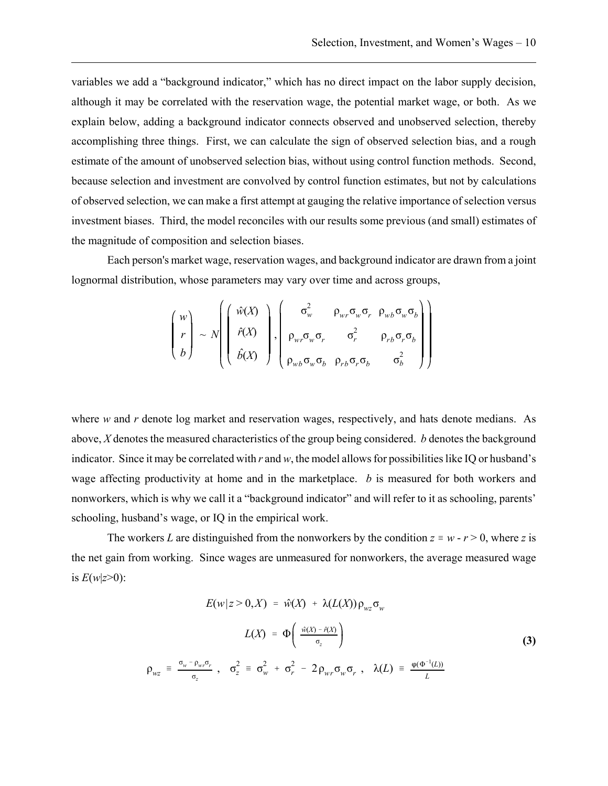variables we add a "background indicator," which has no direct impact on the labor supply decision, although it may be correlated with the reservation wage, the potential market wage, or both. As we explain below, adding a background indicator connects observed and unobserved selection, thereby accomplishing three things. First, we can calculate the sign of observed selection bias, and a rough estimate of the amount of unobserved selection bias, without using control function methods. Second, because selection and investment are convolved by control function estimates, but not by calculations of observed selection, we can make a first attempt at gauging the relative importance of selection versus investment biases. Third, the model reconciles with our results some previous (and small) estimates of the magnitude of composition and selection biases.

Each person's market wage, reservation wages, and background indicator are drawn from a joint lognormal distribution, whose parameters may vary over time and across groups,

$$
\begin{pmatrix} w \\ r \\ b \end{pmatrix} \sim N \begin{pmatrix} \hat{w}(X) \\ \hat{r}(X) \\ \hat{b}(X) \end{pmatrix}, \begin{pmatrix} \sigma_w^2 & \rho_{wr} \sigma_w \sigma_r & \rho_{wb} \sigma_w \sigma_b \\ \rho_{wr} \sigma_w \sigma_r & \sigma_r^2 & \rho_{rb} \sigma_r \sigma_b \\ \rho_{wb} \sigma_w \sigma_b & \rho_{rb} \sigma_r \sigma_b & \sigma_b^2 \end{pmatrix}
$$

where *w* and *r* denote log market and reservation wages, respectively, and hats denote medians. As above, *X* denotes the measured characteristics of the group being considered. *b* denotes the background indicator. Since it may be correlated with *r* and *w*, the model allows for possibilities like IQ or husband's wage affecting productivity at home and in the marketplace. *b* is measured for both workers and nonworkers, which is why we call it a "background indicator" and will refer to it as schooling, parents' schooling, husband's wage, or IQ in the empirical work.

The workers *L* are distinguished from the nonworkers by the condition  $z \equiv w - r > 0$ , where *z* is the net gain from working. Since wages are unmeasured for nonworkers, the average measured wage is  $E(w|z>0)$ :

$$
E(w|z > 0, X) = \hat{w}(X) + \lambda(L(X)) \rho_{wz} \sigma_w
$$

$$
L(X) = \Phi\left(\frac{\hat{w}(X) - \hat{r}(X)}{\sigma_z}\right)
$$
(3)
$$
\rho_{wz} = \frac{\sigma_w - \rho_{wr} \sigma_r}{\sigma_z}, \quad \sigma_z^2 = \sigma_w^2 + \sigma_r^2 - 2\rho_{wr} \sigma_w \sigma_r, \quad \lambda(L) = \frac{\varphi(\Phi^{-1}(L))}{L}
$$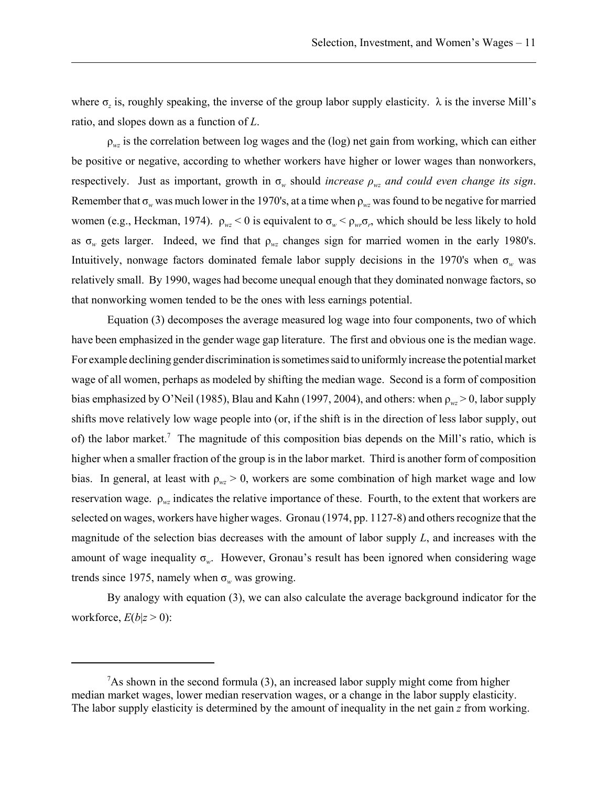where σ*z* is, roughly speaking, the inverse of the group labor supply elasticity. λ is the inverse Mill's ratio, and slopes down as a function of *L*.

ρ*wz* is the correlation between log wages and the (log) net gain from working, which can either be positive or negative, according to whether workers have higher or lower wages than nonworkers, respectively. Just as important, growth in  $\sigma_w$  should *increase*  $\rho_{wz}$  *and could even change its sign.* Remember that  $\sigma_w$  was much lower in the 1970's, at a time when  $\rho_{wz}$  was found to be negative for married women (e.g., Heckman, 1974).  $\rho_{wz} < 0$  is equivalent to  $\sigma_w < \rho_{wz} \sigma_z$ , which should be less likely to hold as σ*w* gets larger. Indeed, we find that ρ*wz* changes sign for married women in the early 1980's. Intuitively, nonwage factors dominated female labor supply decisions in the 1970's when  $\sigma_w$  was relatively small. By 1990, wages had become unequal enough that they dominated nonwage factors, so that nonworking women tended to be the ones with less earnings potential.

Equation (3) decomposes the average measured log wage into four components, two of which have been emphasized in the gender wage gap literature. The first and obvious one is the median wage. For example declining gender discrimination is sometimes said to uniformly increase the potential market wage of all women, perhaps as modeled by shifting the median wage. Second is a form of composition bias emphasized by O'Neil (1985), Blau and Kahn (1997, 2004), and others: when  $\rho_{wz} > 0$ , labor supply shifts move relatively low wage people into (or, if the shift is in the direction of less labor supply, out of) the labor market.<sup>7</sup> The magnitude of this composition bias depends on the Mill's ratio, which is higher when a smaller fraction of the group is in the labor market. Third is another form of composition bias. In general, at least with  $\rho_{wz} > 0$ , workers are some combination of high market wage and low reservation wage. ρ*wz* indicates the relative importance of these. Fourth, to the extent that workers are selected on wages, workers have higher wages. Gronau (1974, pp. 1127-8) and others recognize that the magnitude of the selection bias decreases with the amount of labor supply *L*, and increases with the amount of wage inequality σ*w*. However, Gronau's result has been ignored when considering wage trends since 1975, namely when  $\sigma_w$  was growing.

By analogy with equation (3), we can also calculate the average background indicator for the workforce,  $E(b|z>0)$ :

 $7$ As shown in the second formula (3), an increased labor supply might come from higher median market wages, lower median reservation wages, or a change in the labor supply elasticity. The labor supply elasticity is determined by the amount of inequality in the net gain *z* from working.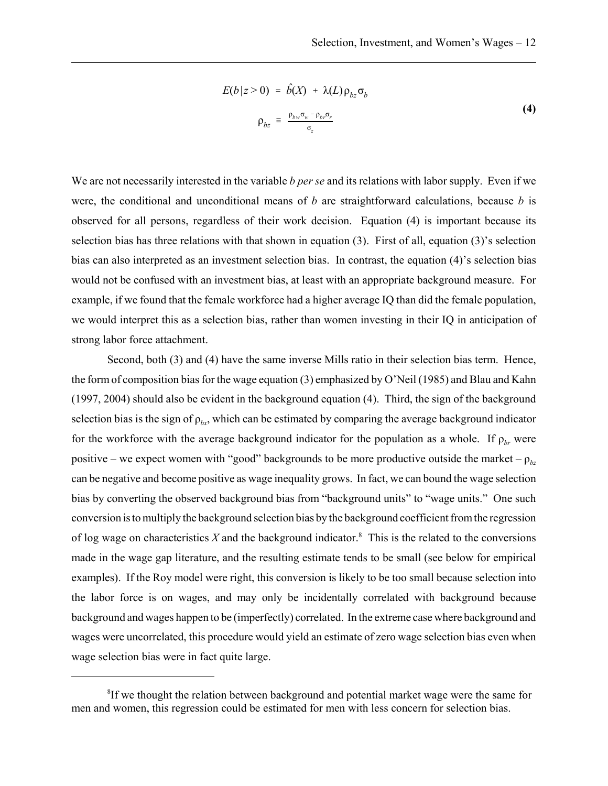$$
E(b|z>0) = \hat{b}(X) + \lambda(L)\rho_{bz}\sigma_b
$$
  

$$
\rho_{bz} = \frac{\rho_{bw}\sigma_w - \rho_{b} \sigma_r}{\sigma_z}
$$
 (4)

We are not necessarily interested in the variable *b per se* and its relations with labor supply. Even if we were, the conditional and unconditional means of *b* are straightforward calculations, because *b* is observed for all persons, regardless of their work decision. Equation (4) is important because its selection bias has three relations with that shown in equation (3). First of all, equation (3)'s selection bias can also interpreted as an investment selection bias. In contrast, the equation (4)'s selection bias would not be confused with an investment bias, at least with an appropriate background measure. For example, if we found that the female workforce had a higher average IQ than did the female population, we would interpret this as a selection bias, rather than women investing in their IQ in anticipation of strong labor force attachment.

Second, both (3) and (4) have the same inverse Mills ratio in their selection bias term. Hence, the form of composition bias for the wage equation (3) emphasized by O'Neil (1985) and Blau and Kahn (1997, 2004) should also be evident in the background equation (4). Third, the sign of the background selection bias is the sign of  $\rho_{bx}$ , which can be estimated by comparing the average background indicator for the workforce with the average background indicator for the population as a whole. If  $\rho_{br}$  were positive – we expect women with "good" backgrounds to be more productive outside the market –  $\rho_{bc}$ can be negative and become positive as wage inequality grows. In fact, we can bound the wage selection bias by converting the observed background bias from "background units" to "wage units." One such conversion is to multiply the background selection bias by the background coefficient from the regression of log wage on characteristics  $X$  and the background indicator.<sup>8</sup> This is the related to the conversions made in the wage gap literature, and the resulting estimate tends to be small (see below for empirical examples). If the Roy model were right, this conversion is likely to be too small because selection into the labor force is on wages, and may only be incidentally correlated with background because background and wages happen to be (imperfectly) correlated. In the extreme case where background and wages were uncorrelated, this procedure would yield an estimate of zero wage selection bias even when wage selection bias were in fact quite large.

<sup>&</sup>lt;sup>8</sup>If we thought the relation between background and potential market wage were the same for men and women, this regression could be estimated for men with less concern for selection bias.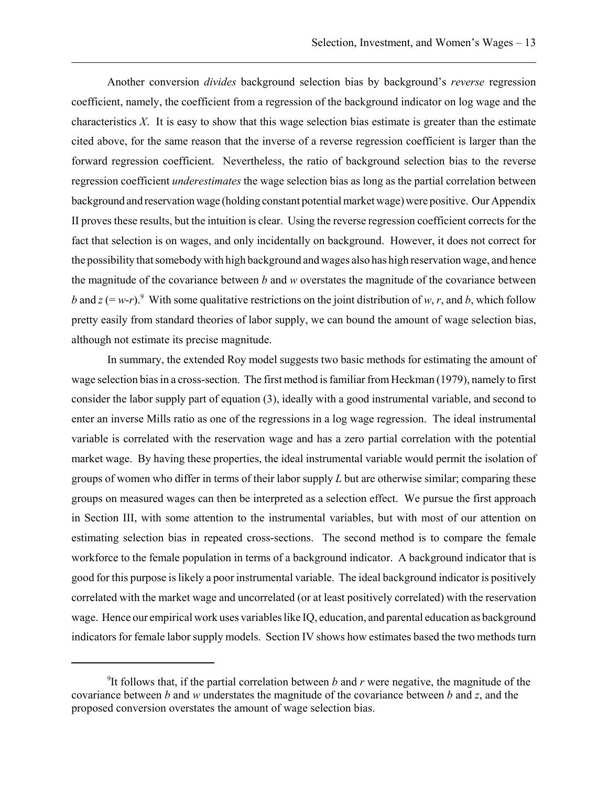Another conversion *divides* background selection bias by background's *reverse* regression coefficient, namely, the coefficient from a regression of the background indicator on log wage and the characteristics *X*. It is easy to show that this wage selection bias estimate is greater than the estimate cited above, for the same reason that the inverse of a reverse regression coefficient is larger than the forward regression coefficient. Nevertheless, the ratio of background selection bias to the reverse regression coefficient *underestimates* the wage selection bias as long as the partial correlation between background and reservation wage (holding constant potential market wage) were positive. Our Appendix II proves these results, but the intuition is clear. Using the reverse regression coefficient corrects for the fact that selection is on wages, and only incidentally on background. However, it does not correct for the possibility that somebody with high background and wages also has high reservation wage, and hence the magnitude of the covariance between *b* and *w* overstates the magnitude of the covariance between *b* and  $z (= w-r)$ .<sup>9</sup> With some qualitative restrictions on the joint distribution of *w*, *r*, and *b*, which follow pretty easily from standard theories of labor supply, we can bound the amount of wage selection bias, although not estimate its precise magnitude.

In summary, the extended Roy model suggests two basic methods for estimating the amount of wage selection bias in a cross-section. The first method is familiar from Heckman (1979), namely to first consider the labor supply part of equation (3), ideally with a good instrumental variable, and second to enter an inverse Mills ratio as one of the regressions in a log wage regression. The ideal instrumental variable is correlated with the reservation wage and has a zero partial correlation with the potential market wage. By having these properties, the ideal instrumental variable would permit the isolation of groups of women who differ in terms of their labor supply *L* but are otherwise similar; comparing these groups on measured wages can then be interpreted as a selection effect. We pursue the first approach in Section III, with some attention to the instrumental variables, but with most of our attention on estimating selection bias in repeated cross-sections. The second method is to compare the female workforce to the female population in terms of a background indicator. A background indicator that is good for this purpose is likely a poor instrumental variable. The ideal background indicator is positively correlated with the market wage and uncorrelated (or at least positively correlated) with the reservation wage. Hence our empirical work uses variables like IQ, education, and parental education as background indicators for female labor supply models. Section IV shows how estimates based the two methods turn

<sup>&</sup>lt;sup>9</sup>It follows that, if the partial correlation between  $b$  and  $r$  were negative, the magnitude of the covariance between *b* and *w* understates the magnitude of the covariance between *b* and *z*, and the proposed conversion overstates the amount of wage selection bias.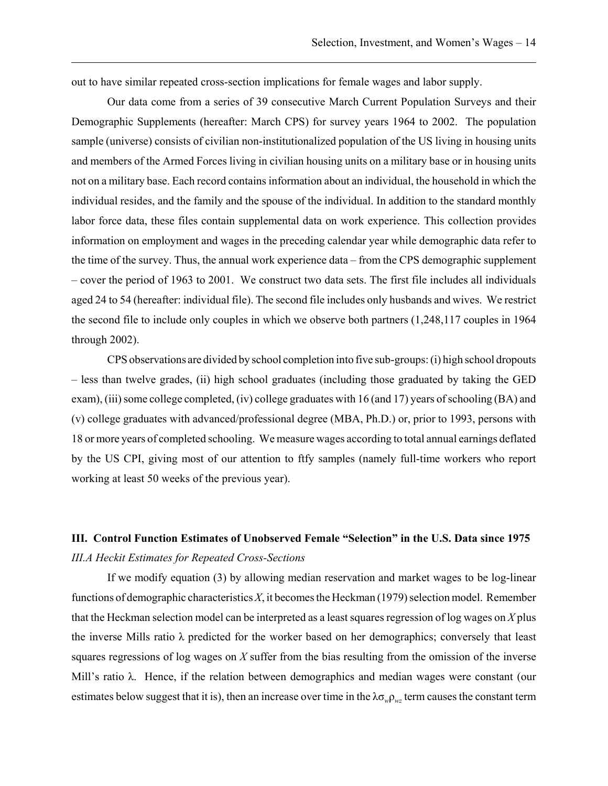out to have similar repeated cross-section implications for female wages and labor supply.

Our data come from a series of 39 consecutive March Current Population Surveys and their Demographic Supplements (hereafter: March CPS) for survey years 1964 to 2002. The population sample (universe) consists of civilian non-institutionalized population of the US living in housing units and members of the Armed Forces living in civilian housing units on a military base or in housing units not on a military base. Each record contains information about an individual, the household in which the individual resides, and the family and the spouse of the individual. In addition to the standard monthly labor force data, these files contain supplemental data on work experience. This collection provides information on employment and wages in the preceding calendar year while demographic data refer to the time of the survey. Thus, the annual work experience data – from the CPS demographic supplement – cover the period of 1963 to 2001. We construct two data sets. The first file includes all individuals aged 24 to 54 (hereafter: individual file). The second file includes only husbands and wives. We restrict the second file to include only couples in which we observe both partners (1,248,117 couples in 1964 through 2002).

CPS observations are divided by school completion into five sub-groups: (i) high school dropouts – less than twelve grades, (ii) high school graduates (including those graduated by taking the GED exam), (iii) some college completed, (iv) college graduates with 16 (and 17) years of schooling (BA) and (v) college graduates with advanced/professional degree (MBA, Ph.D.) or, prior to 1993, persons with 18 or more years of completed schooling. We measure wages according to total annual earnings deflated by the US CPI, giving most of our attention to ftfy samples (namely full-time workers who report working at least 50 weeks of the previous year).

# **III. Control Function Estimates of Unobserved Female "Selection" in the U.S. Data since 1975** *III.A Heckit Estimates for Repeated Cross-Sections*

If we modify equation (3) by allowing median reservation and market wages to be log-linear functions of demographic characteristics *X*, it becomes the Heckman (1979) selection model. Remember that the Heckman selection model can be interpreted as a least squares regression of log wages on *X* plus the inverse Mills ratio λ predicted for the worker based on her demographics; conversely that least squares regressions of log wages on *X* suffer from the bias resulting from the omission of the inverse Mill's ratio λ. Hence, if the relation between demographics and median wages were constant (our estimates below suggest that it is), then an increase over time in the  $\lambda \sigma_w \rho_w$  term causes the constant term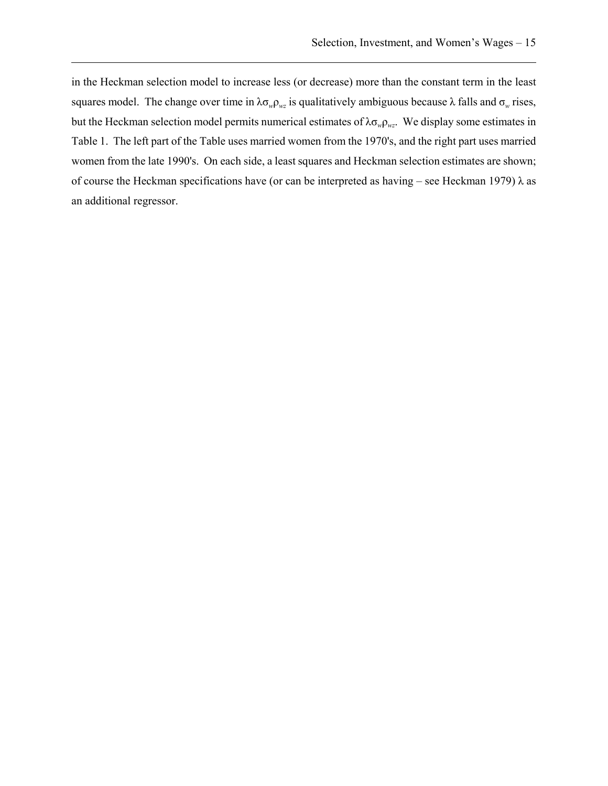in the Heckman selection model to increase less (or decrease) more than the constant term in the least squares model. The change over time in  $\lambda \sigma_w \rho_{wz}$  is qualitatively ambiguous because  $\lambda$  falls and  $\sigma_w$  rises, but the Heckman selection model permits numerical estimates of λσ*w*ρ*wz*. We display some estimates in Table 1. The left part of the Table uses married women from the 1970's, and the right part uses married women from the late 1990's. On each side, a least squares and Heckman selection estimates are shown; of course the Heckman specifications have (or can be interpreted as having – see Heckman 1979)  $\lambda$  as an additional regressor.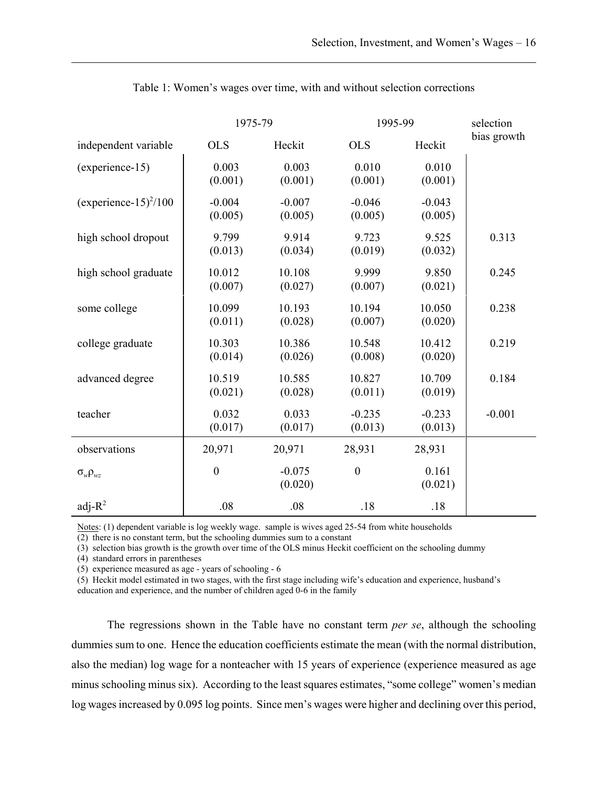|                            | 1975-79             |                     | 1995-99             |                     | selection   |
|----------------------------|---------------------|---------------------|---------------------|---------------------|-------------|
| independent variable       | <b>OLS</b>          | Heckit              | <b>OLS</b>          | Heckit              | bias growth |
| (experience-15)            | 0.003<br>(0.001)    | 0.003<br>(0.001)    | 0.010<br>(0.001)    | 0.010<br>(0.001)    |             |
| (experience- $15)^{2}/100$ | $-0.004$<br>(0.005) | $-0.007$<br>(0.005) | $-0.046$<br>(0.005) | $-0.043$<br>(0.005) |             |
| high school dropout        | 9.799<br>(0.013)    | 9.914<br>(0.034)    | 9.723<br>(0.019)    | 9.525<br>(0.032)    | 0.313       |
| high school graduate       | 10.012<br>(0.007)   | 10.108<br>(0.027)   | 9.999<br>(0.007)    | 9.850<br>(0.021)    | 0.245       |
| some college               | 10.099<br>(0.011)   | 10.193<br>(0.028)   | 10.194<br>(0.007)   | 10.050<br>(0.020)   | 0.238       |
| college graduate           | 10.303<br>(0.014)   | 10.386<br>(0.026)   | 10.548<br>(0.008)   | 10.412<br>(0.020)   | 0.219       |
| advanced degree            | 10.519<br>(0.021)   | 10.585<br>(0.028)   | 10.827<br>(0.011)   | 10.709<br>(0.019)   | 0.184       |
| teacher                    | 0.032<br>(0.017)    | 0.033<br>(0.017)    | $-0.235$<br>(0.013) | $-0.233$<br>(0.013) | $-0.001$    |
| observations               | 20,971              | 20,971              | 28,931              | 28,931              |             |
| $\sigma_{w} \rho_{wz}$     | $\boldsymbol{0}$    | $-0.075$<br>(0.020) | $\boldsymbol{0}$    | 0.161<br>(0.021)    |             |
| adj- $R^2$                 | .08                 | .08                 | .18                 | .18                 |             |

Table 1: Women's wages over time, with and without selection corrections

Notes: (1) dependent variable is log weekly wage. sample is wives aged 25-54 from white households

 $\overline{(2)}$  there is no constant term, but the schooling dummies sum to a constant

(3) selection bias growth is the growth over time of the OLS minus Heckit coefficient on the schooling dummy

(4) standard errors in parentheses

(5) experience measured as age - years of schooling - 6

(5) Heckit model estimated in two stages, with the first stage including wife's education and experience, husband's

education and experience, and the number of children aged 0-6 in the family

The regressions shown in the Table have no constant term *per se*, although the schooling dummies sum to one. Hence the education coefficients estimate the mean (with the normal distribution, also the median) log wage for a nonteacher with 15 years of experience (experience measured as age minus schooling minus six). According to the least squares estimates, "some college" women's median log wages increased by 0.095 log points. Since men's wages were higher and declining over this period,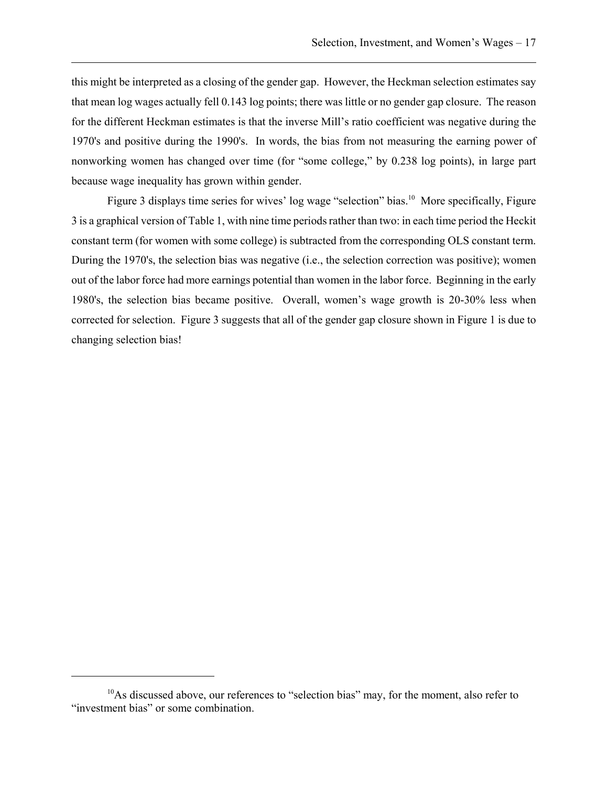this might be interpreted as a closing of the gender gap. However, the Heckman selection estimates say that mean log wages actually fell 0.143 log points; there was little or no gender gap closure. The reason for the different Heckman estimates is that the inverse Mill's ratio coefficient was negative during the 1970's and positive during the 1990's. In words, the bias from not measuring the earning power of nonworking women has changed over time (for "some college," by 0.238 log points), in large part because wage inequality has grown within gender.

Figure 3 displays time series for wives' log wage "selection" bias.<sup>10</sup> More specifically, Figure 3 is a graphical version of Table 1, with nine time periods rather than two: in each time period the Heckit constant term (for women with some college) is subtracted from the corresponding OLS constant term. During the 1970's, the selection bias was negative (i.e., the selection correction was positive); women out of the labor force had more earnings potential than women in the labor force. Beginning in the early 1980's, the selection bias became positive. Overall, women's wage growth is 20-30% less when corrected for selection. Figure 3 suggests that all of the gender gap closure shown in Figure 1 is due to changing selection bias!

 $10$ As discussed above, our references to "selection bias" may, for the moment, also refer to "investment bias" or some combination.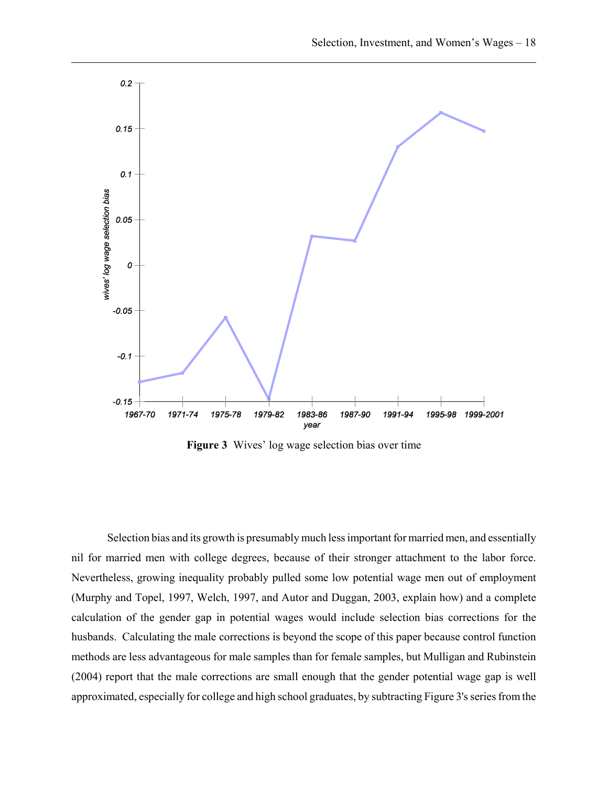

**Figure 3** Wives' log wage selection bias over time

Selection bias and its growth is presumably much less important for married men, and essentially nil for married men with college degrees, because of their stronger attachment to the labor force. Nevertheless, growing inequality probably pulled some low potential wage men out of employment (Murphy and Topel, 1997, Welch, 1997, and Autor and Duggan, 2003, explain how) and a complete calculation of the gender gap in potential wages would include selection bias corrections for the husbands. Calculating the male corrections is beyond the scope of this paper because control function methods are less advantageous for male samples than for female samples, but Mulligan and Rubinstein (2004) report that the male corrections are small enough that the gender potential wage gap is well approximated, especially for college and high school graduates, by subtracting Figure 3's series from the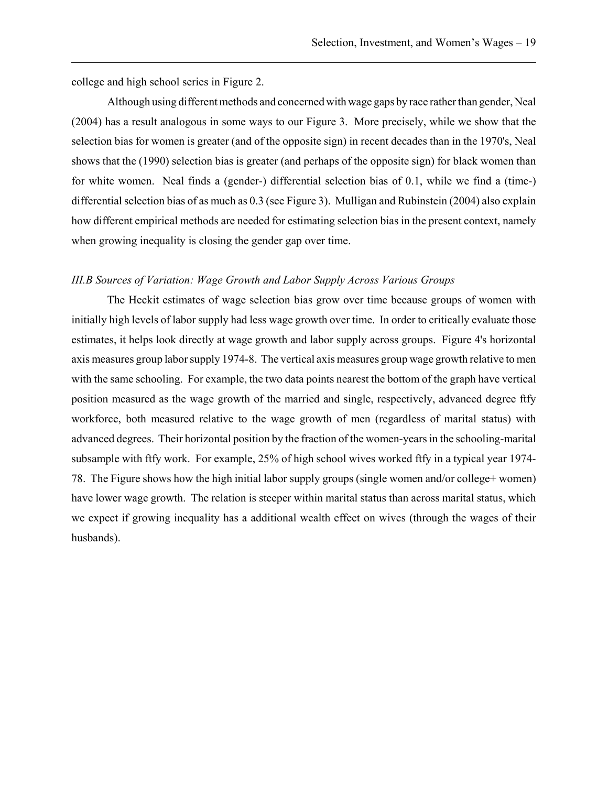college and high school series in Figure 2.

Although using different methods and concerned with wage gaps by race rather than gender, Neal (2004) has a result analogous in some ways to our Figure 3. More precisely, while we show that the selection bias for women is greater (and of the opposite sign) in recent decades than in the 1970's, Neal shows that the (1990) selection bias is greater (and perhaps of the opposite sign) for black women than for white women. Neal finds a (gender-) differential selection bias of 0.1, while we find a (time-) differential selection bias of as much as 0.3 (see Figure 3). Mulligan and Rubinstein (2004) also explain how different empirical methods are needed for estimating selection bias in the present context, namely when growing inequality is closing the gender gap over time.

## *III.B Sources of Variation: Wage Growth and Labor Supply Across Various Groups*

The Heckit estimates of wage selection bias grow over time because groups of women with initially high levels of labor supply had less wage growth over time. In order to critically evaluate those estimates, it helps look directly at wage growth and labor supply across groups. Figure 4's horizontal axis measures group labor supply 1974-8. The vertical axis measures group wage growth relative to men with the same schooling. For example, the two data points nearest the bottom of the graph have vertical position measured as the wage growth of the married and single, respectively, advanced degree ftfy workforce, both measured relative to the wage growth of men (regardless of marital status) with advanced degrees. Their horizontal position by the fraction of the women-years in the schooling-marital subsample with ftfy work. For example, 25% of high school wives worked ftfy in a typical year 1974- 78. The Figure shows how the high initial labor supply groups (single women and/or college+ women) have lower wage growth. The relation is steeper within marital status than across marital status, which we expect if growing inequality has a additional wealth effect on wives (through the wages of their husbands).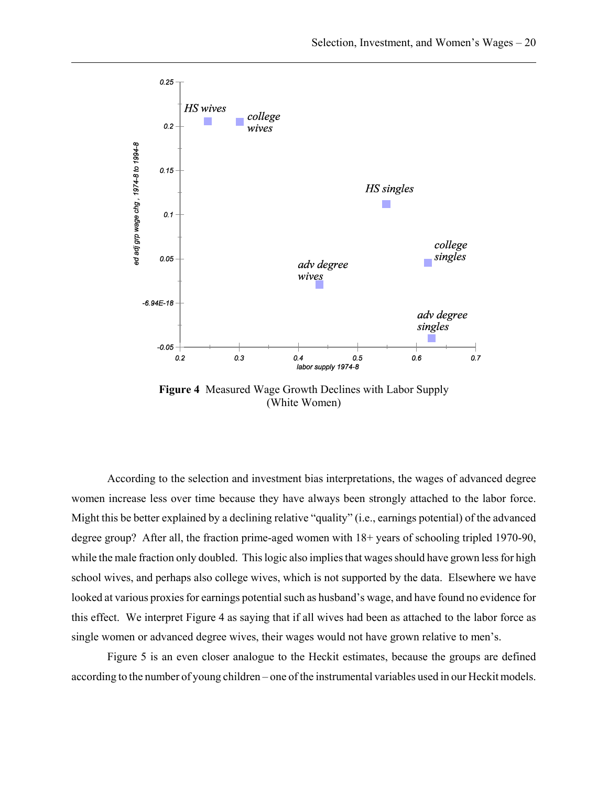

**Figure 4** Measured Wage Growth Declines with Labor Supply (White Women)

According to the selection and investment bias interpretations, the wages of advanced degree women increase less over time because they have always been strongly attached to the labor force. Might this be better explained by a declining relative "quality" (i.e., earnings potential) of the advanced degree group? After all, the fraction prime-aged women with  $18+$  years of schooling tripled 1970-90, while the male fraction only doubled. This logic also implies that wages should have grown less for high school wives, and perhaps also college wives, which is not supported by the data. Elsewhere we have looked at various proxies for earnings potential such as husband's wage, and have found no evidence for this effect. We interpret Figure 4 as saying that if all wives had been as attached to the labor force as single women or advanced degree wives, their wages would not have grown relative to men's.

Figure 5 is an even closer analogue to the Heckit estimates, because the groups are defined according to the number of young children – one of the instrumental variables used in our Heckit models.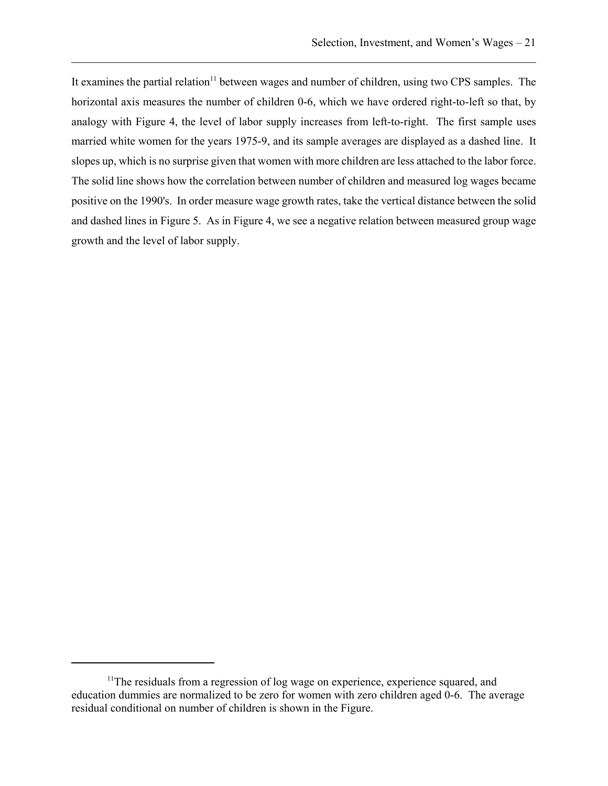It examines the partial relation<sup>11</sup> between wages and number of children, using two CPS samples. The horizontal axis measures the number of children 0-6, which we have ordered right-to-left so that, by analogy with Figure 4, the level of labor supply increases from left-to-right. The first sample uses married white women for the years 1975-9, and its sample averages are displayed as a dashed line. It slopes up, which is no surprise given that women with more children are less attached to the labor force. The solid line shows how the correlation between number of children and measured log wages became positive on the 1990's. In order measure wage growth rates, take the vertical distance between the solid and dashed lines in Figure 5. As in Figure 4, we see a negative relation between measured group wage growth and the level of labor supply.

<sup>&</sup>lt;sup>11</sup>The residuals from a regression of log wage on experience, experience squared, and education dummies are normalized to be zero for women with zero children aged 0-6. The average residual conditional on number of children is shown in the Figure.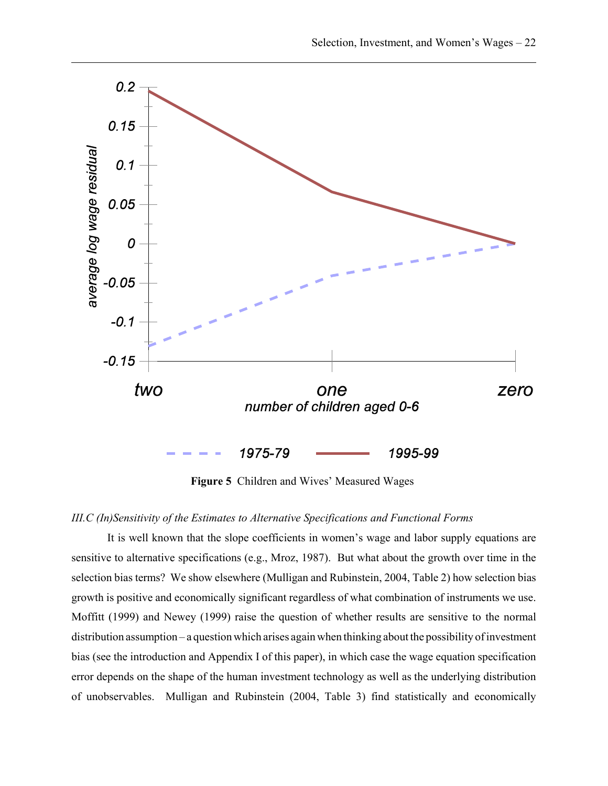

**Figure 5** Children and Wives' Measured Wages

## *III.C (In)Sensitivity of the Estimates to Alternative Specifications and Functional Forms*

It is well known that the slope coefficients in women's wage and labor supply equations are sensitive to alternative specifications (e.g., Mroz, 1987). But what about the growth over time in the selection bias terms? We show elsewhere (Mulligan and Rubinstein, 2004, Table 2) how selection bias growth is positive and economically significant regardless of what combination of instruments we use. Moffitt (1999) and Newey (1999) raise the question of whether results are sensitive to the normal distribution assumption – a question which arises again when thinking about the possibility of investment bias (see the introduction and Appendix I of this paper), in which case the wage equation specification error depends on the shape of the human investment technology as well as the underlying distribution of unobservables. Mulligan and Rubinstein (2004, Table 3) find statistically and economically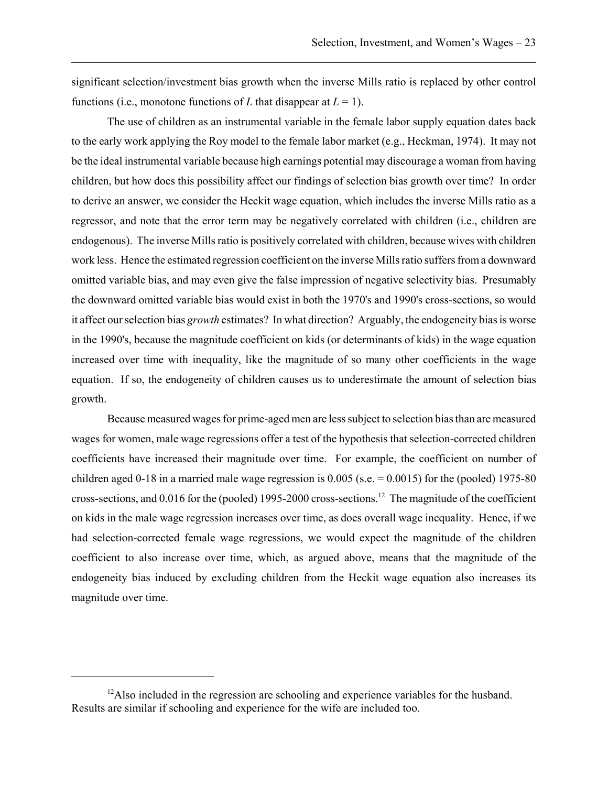significant selection/investment bias growth when the inverse Mills ratio is replaced by other control functions (i.e., monotone functions of *L* that disappear at  $L = 1$ ).

The use of children as an instrumental variable in the female labor supply equation dates back to the early work applying the Roy model to the female labor market (e.g., Heckman, 1974). It may not be the ideal instrumental variable because high earnings potential may discourage a woman from having children, but how does this possibility affect our findings of selection bias growth over time? In order to derive an answer, we consider the Heckit wage equation, which includes the inverse Mills ratio as a regressor, and note that the error term may be negatively correlated with children (i.e., children are endogenous). The inverse Mills ratio is positively correlated with children, because wives with children work less. Hence the estimated regression coefficient on the inverse Mills ratio suffers from a downward omitted variable bias, and may even give the false impression of negative selectivity bias. Presumably the downward omitted variable bias would exist in both the 1970's and 1990's cross-sections, so would it affect our selection bias *growth* estimates? In what direction? Arguably, the endogeneity bias is worse in the 1990's, because the magnitude coefficient on kids (or determinants of kids) in the wage equation increased over time with inequality, like the magnitude of so many other coefficients in the wage equation. If so, the endogeneity of children causes us to underestimate the amount of selection bias growth.

Because measured wages for prime-aged men are less subject to selection bias than are measured wages for women, male wage regressions offer a test of the hypothesis that selection-corrected children coefficients have increased their magnitude over time. For example, the coefficient on number of children aged 0-18 in a married male wage regression is  $0.005$  (s.e.  $= 0.0015$ ) for the (pooled) 1975-80 cross-sections, and 0.016 for the (pooled) 1995-2000 cross-sections.12 The magnitude of the coefficient on kids in the male wage regression increases over time, as does overall wage inequality. Hence, if we had selection-corrected female wage regressions, we would expect the magnitude of the children coefficient to also increase over time, which, as argued above, means that the magnitude of the endogeneity bias induced by excluding children from the Heckit wage equation also increases its magnitude over time.

<sup>&</sup>lt;sup>12</sup>Also included in the regression are schooling and experience variables for the husband. Results are similar if schooling and experience for the wife are included too.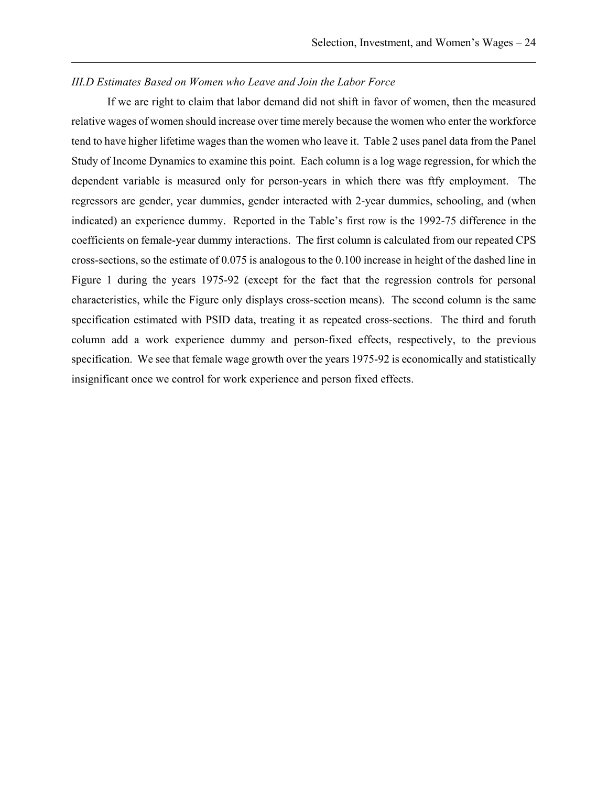## *III.D Estimates Based on Women who Leave and Join the Labor Force*

If we are right to claim that labor demand did not shift in favor of women, then the measured relative wages of women should increase over time merely because the women who enter the workforce tend to have higher lifetime wages than the women who leave it. Table 2 uses panel data from the Panel Study of Income Dynamics to examine this point. Each column is a log wage regression, for which the dependent variable is measured only for person-years in which there was ftfy employment. The regressors are gender, year dummies, gender interacted with 2-year dummies, schooling, and (when indicated) an experience dummy. Reported in the Table's first row is the 1992-75 difference in the coefficients on female-year dummy interactions. The first column is calculated from our repeated CPS cross-sections, so the estimate of 0.075 is analogous to the 0.100 increase in height of the dashed line in Figure 1 during the years 1975-92 (except for the fact that the regression controls for personal characteristics, while the Figure only displays cross-section means). The second column is the same specification estimated with PSID data, treating it as repeated cross-sections. The third and foruth column add a work experience dummy and person-fixed effects, respectively, to the previous specification. We see that female wage growth over the years 1975-92 is economically and statistically insignificant once we control for work experience and person fixed effects.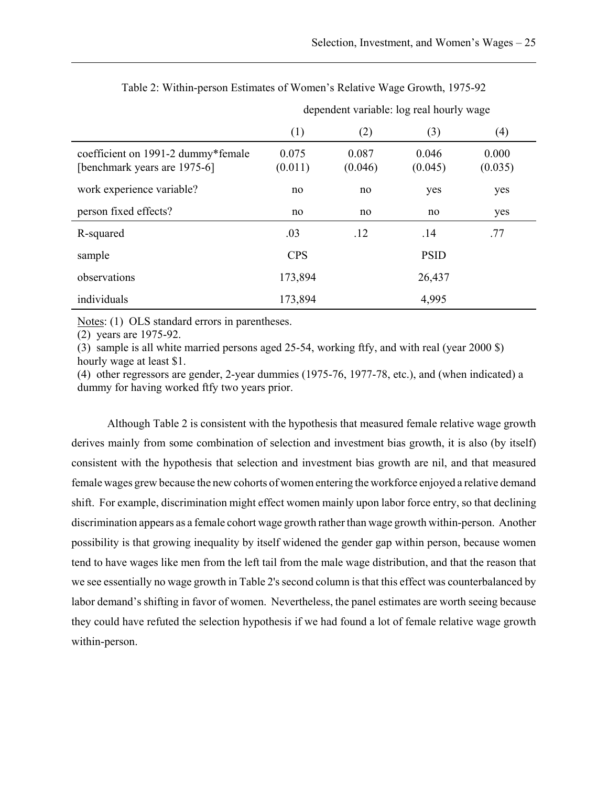|                                                                    | dependent variable: log real hourly wage |                  |                  |                  |
|--------------------------------------------------------------------|------------------------------------------|------------------|------------------|------------------|
|                                                                    | (1)                                      | (2)              | (3)              | (4)              |
| coefficient on 1991-2 dummy*female<br>[benchmark years are 1975-6] | 0.075<br>(0.011)                         | 0.087<br>(0.046) | 0.046<br>(0.045) | 0.000<br>(0.035) |
| work experience variable?                                          | no                                       | no               | yes              | yes              |
| person fixed effects?                                              | no                                       | no               | no               | yes              |
| R-squared                                                          | .03                                      | .12              | .14              | .77              |
| sample                                                             | <b>CPS</b>                               | <b>PSID</b>      |                  |                  |
| observations                                                       | 173,894                                  |                  | 26,437           |                  |
| individuals                                                        | 173,894                                  |                  | 4,995            |                  |

Table 2: Within-person Estimates of Women's Relative Wage Growth, 1975-92

Notes: (1) OLS standard errors in parentheses.

(2) years are 1975-92.

(3) sample is all white married persons aged 25-54, working ftfy, and with real (year 2000 \$) hourly wage at least \$1.

(4) other regressors are gender, 2-year dummies (1975-76, 1977-78, etc.), and (when indicated) a dummy for having worked ftfy two years prior.

Although Table 2 is consistent with the hypothesis that measured female relative wage growth derives mainly from some combination of selection and investment bias growth, it is also (by itself) consistent with the hypothesis that selection and investment bias growth are nil, and that measured female wages grew because the new cohorts of women entering the workforce enjoyed a relative demand shift. For example, discrimination might effect women mainly upon labor force entry, so that declining discrimination appears as a female cohort wage growth rather than wage growth within-person. Another possibility is that growing inequality by itself widened the gender gap within person, because women tend to have wages like men from the left tail from the male wage distribution, and that the reason that we see essentially no wage growth in Table 2's second column is that this effect was counterbalanced by labor demand's shifting in favor of women. Nevertheless, the panel estimates are worth seeing because they could have refuted the selection hypothesis if we had found a lot of female relative wage growth within-person.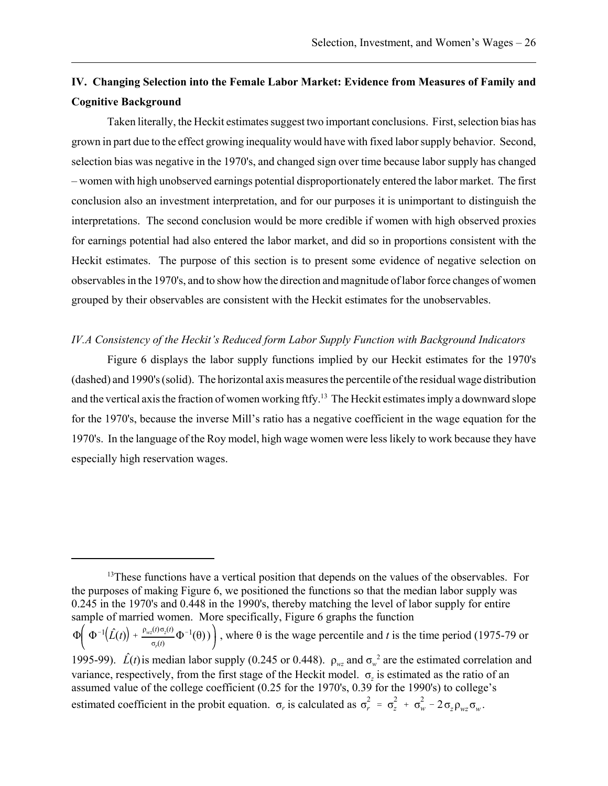# **IV. Changing Selection into the Female Labor Market: Evidence from Measures of Family and Cognitive Background**

Taken literally, the Heckit estimates suggest two important conclusions. First, selection bias has grown in part due to the effect growing inequality would have with fixed labor supply behavior. Second, selection bias was negative in the 1970's, and changed sign over time because labor supply has changed – women with high unobserved earnings potential disproportionately entered the labor market. The first conclusion also an investment interpretation, and for our purposes it is unimportant to distinguish the interpretations. The second conclusion would be more credible if women with high observed proxies for earnings potential had also entered the labor market, and did so in proportions consistent with the Heckit estimates. The purpose of this section is to present some evidence of negative selection on observables in the 1970's, and to show how the direction and magnitude of labor force changes of women grouped by their observables are consistent with the Heckit estimates for the unobservables.

## *IV.A Consistency of the Heckit's Reduced form Labor Supply Function with Background Indicators*

Figure 6 displays the labor supply functions implied by our Heckit estimates for the 1970's (dashed) and 1990's (solid). The horizontal axis measures the percentile of the residual wage distribution and the vertical axis the fraction of women working ftfy.<sup>13</sup> The Heckit estimates imply a downward slope for the 1970's, because the inverse Mill's ratio has a negative coefficient in the wage equation for the 1970's. In the language of the Roy model, high wage women were less likely to work because they have especially high reservation wages.

<sup>&</sup>lt;sup>13</sup>These functions have a vertical position that depends on the values of the observables. For the purposes of making Figure 6, we positioned the functions so that the median labor supply was 0.245 in the 1970's and 0.448 in the 1990's, thereby matching the level of labor supply for entire sample of married women. More specifically, Figure 6 graphs the function  $\Phi\left(\Phi^{-1}(\hat{L}(t)) + \frac{\rho_{wz}(t)\sigma_z(t)}{2} \Phi^{-1}(\theta)\right)$ , where  $\theta$  is the wage percentile and *t* is the time period (1975-79 or  $\frac{\sigma_r(t) \sigma_z(t)}{\sigma_r(t)} \Phi^{-1}(\theta)$ ) 1995-99).  $\hat{L}(t)$  is median labor supply (0.245 or 0.448).  $\rho_{wz}$  and  $\sigma_w^2$  are the estimated correlation and variance, respectively, from the first stage of the Heckit model. σ*z* is estimated as the ratio of an assumed value of the college coefficient (0.25 for the 1970's, 0.39 for the 1990's) to college's estimated coefficient in the probit equation.  $\sigma_r$  is calculated as  $\sigma_r^2 = \sigma_z^2 + \sigma_w^2 - 2\sigma_z \rho_{wz} \sigma_w$ .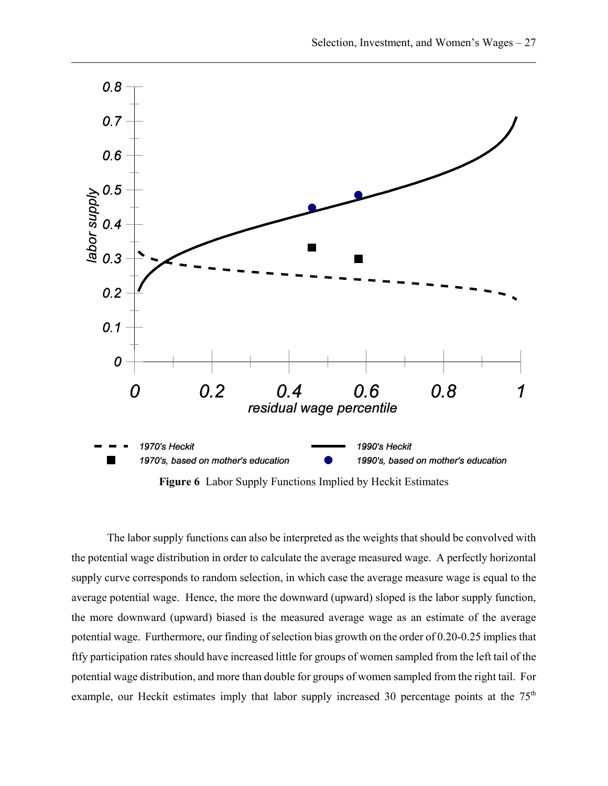

**Figure 6** Labor Supply Functions Implied by Heckit Estimates

The labor supply functions can also be interpreted as the weights that should be convolved with the potential wage distribution in order to calculate the average measured wage. A perfectly horizontal supply curve corresponds to random selection, in which case the average measure wage is equal to the average potential wage. Hence, the more the downward (upward) sloped is the labor supply function, the more downward (upward) biased is the measured average wage as an estimate of the average potential wage. Furthermore, our finding of selection bias growth on the order of 0.20-0.25 implies that ftfy participation rates should have increased little for groups of women sampled from the left tail of the potential wage distribution, and more than double for groups of women sampled from the right tail. For example, our Heckit estimates imply that labor supply increased 30 percentage points at the  $75<sup>th</sup>$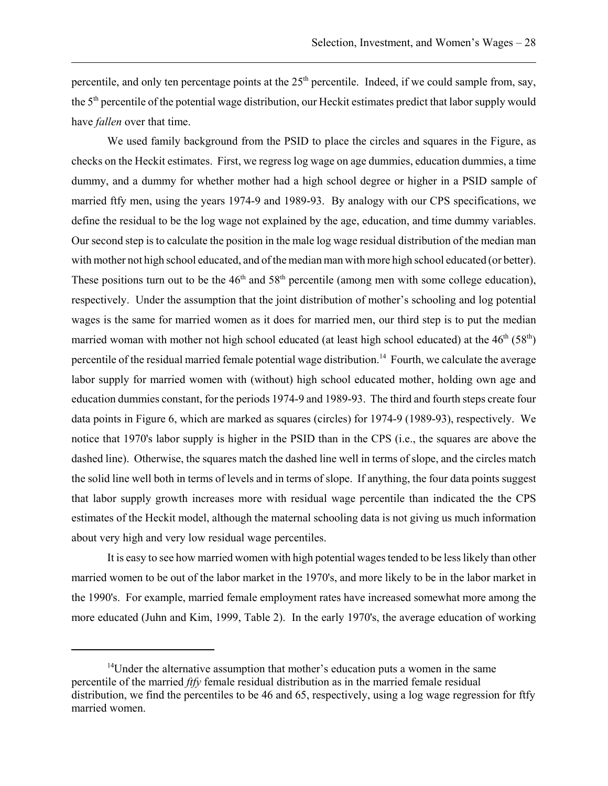percentile, and only ten percentage points at the  $25<sup>th</sup>$  percentile. Indeed, if we could sample from, say, the 5<sup>th</sup> percentile of the potential wage distribution, our Heckit estimates predict that labor supply would have *fallen* over that time.

We used family background from the PSID to place the circles and squares in the Figure, as checks on the Heckit estimates. First, we regress log wage on age dummies, education dummies, a time dummy, and a dummy for whether mother had a high school degree or higher in a PSID sample of married ftfy men, using the years 1974-9 and 1989-93. By analogy with our CPS specifications, we define the residual to be the log wage not explained by the age, education, and time dummy variables. Our second step is to calculate the position in the male log wage residual distribution of the median man with mother not high school educated, and of the median man with more high school educated (or better). These positions turn out to be the  $46<sup>th</sup>$  and  $58<sup>th</sup>$  percentile (among men with some college education), respectively. Under the assumption that the joint distribution of mother's schooling and log potential wages is the same for married women as it does for married men, our third step is to put the median married woman with mother not high school educated (at least high school educated) at the  $46<sup>th</sup> (58<sup>th</sup>)$ percentile of the residual married female potential wage distribution.<sup>14</sup> Fourth, we calculate the average labor supply for married women with (without) high school educated mother, holding own age and education dummies constant, for the periods 1974-9 and 1989-93. The third and fourth steps create four data points in Figure 6, which are marked as squares (circles) for 1974-9 (1989-93), respectively. We notice that 1970's labor supply is higher in the PSID than in the CPS (i.e., the squares are above the dashed line). Otherwise, the squares match the dashed line well in terms of slope, and the circles match the solid line well both in terms of levels and in terms of slope. If anything, the four data points suggest that labor supply growth increases more with residual wage percentile than indicated the the CPS estimates of the Heckit model, although the maternal schooling data is not giving us much information about very high and very low residual wage percentiles.

It is easy to see how married women with high potential wages tended to be less likely than other married women to be out of the labor market in the 1970's, and more likely to be in the labor market in the 1990's. For example, married female employment rates have increased somewhat more among the more educated (Juhn and Kim, 1999, Table 2). In the early 1970's, the average education of working

 $14$ Under the alternative assumption that mother's education puts a women in the same percentile of the married *ftfy* female residual distribution as in the married female residual distribution, we find the percentiles to be 46 and 65, respectively, using a log wage regression for ftfy married women.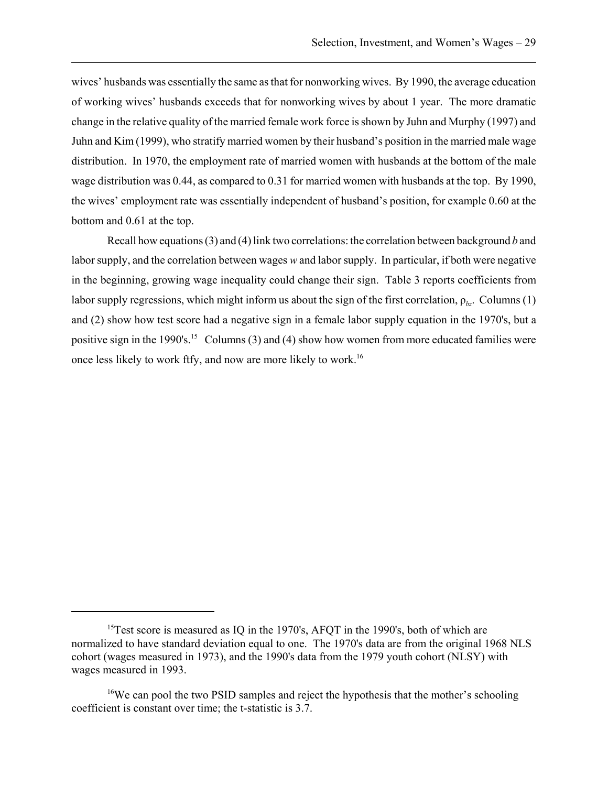wives' husbands was essentially the same as that for nonworking wives. By 1990, the average education of working wives' husbands exceeds that for nonworking wives by about 1 year. The more dramatic change in the relative quality of the married female work force is shown by Juhn and Murphy (1997) and Juhn and Kim (1999), who stratify married women by their husband's position in the married male wage distribution. In 1970, the employment rate of married women with husbands at the bottom of the male wage distribution was 0.44, as compared to 0.31 for married women with husbands at the top. By 1990, the wives' employment rate was essentially independent of husband's position, for example 0.60 at the bottom and 0.61 at the top.

Recall how equations (3) and (4) link two correlations: the correlation between background *b* and labor supply, and the correlation between wages *w* and labor supply. In particular, if both were negative in the beginning, growing wage inequality could change their sign. Table 3 reports coefficients from labor supply regressions, which might inform us about the sign of the first correlation,  $\rho_{bc}$ . Columns (1) and (2) show how test score had a negative sign in a female labor supply equation in the 1970's, but a positive sign in the 1990's.<sup>15</sup> Columns (3) and (4) show how women from more educated families were once less likely to work ftfy, and now are more likely to work.16

<sup>&</sup>lt;sup>15</sup>Test score is measured as IQ in the 1970's, AFQT in the 1990's, both of which are normalized to have standard deviation equal to one. The 1970's data are from the original 1968 NLS cohort (wages measured in 1973), and the 1990's data from the 1979 youth cohort (NLSY) with wages measured in 1993.

<sup>&</sup>lt;sup>16</sup>We can pool the two PSID samples and reject the hypothesis that the mother's schooling coefficient is constant over time; the t-statistic is 3.7.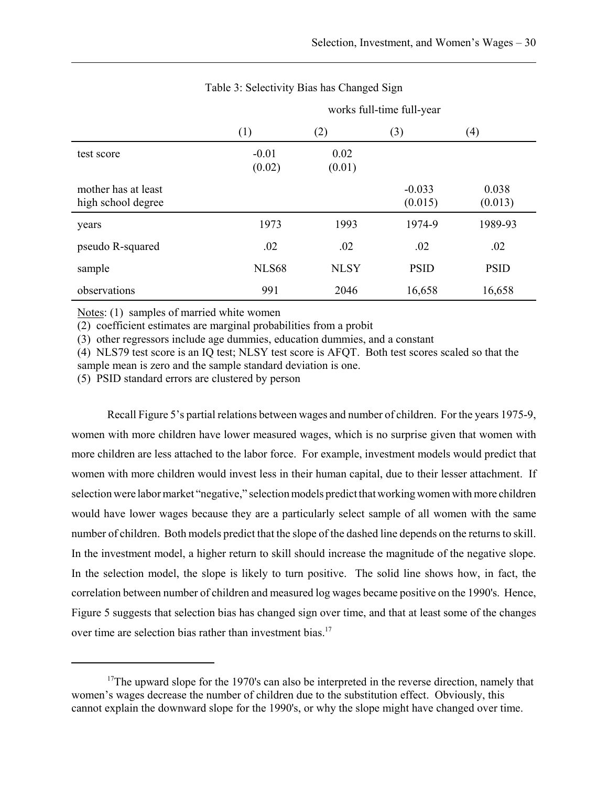works full-time full-year

|                                           | (1)               | (2)            | (3)                 | (4)              |
|-------------------------------------------|-------------------|----------------|---------------------|------------------|
| test score                                | $-0.01$<br>(0.02) | 0.02<br>(0.01) |                     |                  |
| mother has at least<br>high school degree |                   |                | $-0.033$<br>(0.015) | 0.038<br>(0.013) |
| years                                     | 1973              | 1993           | 1974-9              | 1989-93          |
| pseudo R-squared                          | .02               | .02            | .02                 | .02              |
| sample                                    | <b>NLS68</b>      | <b>NLSY</b>    | <b>PSID</b>         | <b>PSID</b>      |
| observations                              | 991               | 2046           | 16,658              | 16,658           |

# Table 3: Selectivity Bias has Changed Sign

Notes: (1) samples of married white women

(2) coefficient estimates are marginal probabilities from a probit

(3) other regressors include age dummies, education dummies, and a constant

(4) NLS79 test score is an IQ test; NLSY test score is AFQT. Both test scores scaled so that the sample mean is zero and the sample standard deviation is one.

(5) PSID standard errors are clustered by person

Recall Figure 5's partial relations between wages and number of children. For the years 1975-9, women with more children have lower measured wages, which is no surprise given that women with more children are less attached to the labor force. For example, investment models would predict that women with more children would invest less in their human capital, due to their lesser attachment. If selection were labor market "negative," selection models predict that working women with more children would have lower wages because they are a particularly select sample of all women with the same number of children. Both models predict that the slope of the dashed line depends on the returns to skill. In the investment model, a higher return to skill should increase the magnitude of the negative slope. In the selection model, the slope is likely to turn positive. The solid line shows how, in fact, the correlation between number of children and measured log wages became positive on the 1990's. Hence, Figure 5 suggests that selection bias has changed sign over time, and that at least some of the changes over time are selection bias rather than investment bias.<sup>17</sup>

<sup>&</sup>lt;sup>17</sup>The upward slope for the 1970's can also be interpreted in the reverse direction, namely that women's wages decrease the number of children due to the substitution effect. Obviously, this cannot explain the downward slope for the 1990's, or why the slope might have changed over time.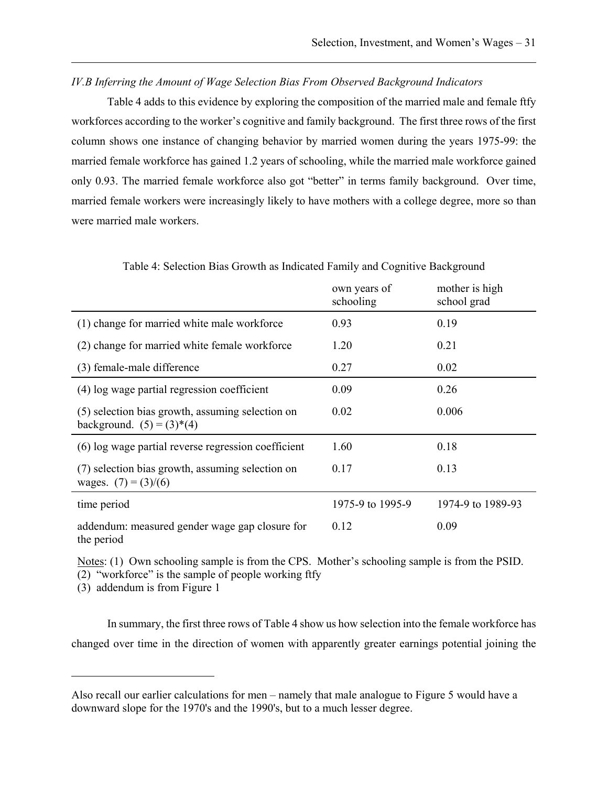## *IV.B Inferring the Amount of Wage Selection Bias From Observed Background Indicators*

Table 4 adds to this evidence by exploring the composition of the married male and female ftfy workforces according to the worker's cognitive and family background. The first three rows of the first column shows one instance of changing behavior by married women during the years 1975-99: the married female workforce has gained 1.2 years of schooling, while the married male workforce gained only 0.93. The married female workforce also got "better" in terms family background. Over time, married female workers were increasingly likely to have mothers with a college degree, more so than were married male workers.

|                                                                                 | own years of<br>schooling | mother is high<br>school grad |
|---------------------------------------------------------------------------------|---------------------------|-------------------------------|
| (1) change for married white male workforce                                     | 0.93                      | 0.19                          |
| (2) change for married white female workforce                                   | 1.20                      | 0.21                          |
| (3) female-male difference                                                      | 0.27                      | 0.02                          |
| (4) log wage partial regression coefficient                                     | 0.09                      | 0.26                          |
| (5) selection bias growth, assuming selection on<br>background. $(5) = (3)*(4)$ | 0.02                      | 0.006                         |
| (6) log wage partial reverse regression coefficient                             | 1.60                      | 0.18                          |
| (7) selection bias growth, assuming selection on<br>wages. $(7) = (3)/(6)$      | 0.17                      | 0.13                          |
| time period                                                                     | 1975-9 to 1995-9          | 1974-9 to 1989-93             |
| addendum: measured gender wage gap closure for<br>the period                    | 0.12                      | 0.09                          |

Table 4: Selection Bias Growth as Indicated Family and Cognitive Background

Notes: (1) Own schooling sample is from the CPS. Mother's schooling sample is from the PSID.

(2) "workforce" is the sample of people working ftfy

(3) addendum is from Figure 1

In summary, the first three rows of Table 4 show us how selection into the female workforce has changed over time in the direction of women with apparently greater earnings potential joining the

Also recall our earlier calculations for men – namely that male analogue to Figure 5 would have a downward slope for the 1970's and the 1990's, but to a much lesser degree.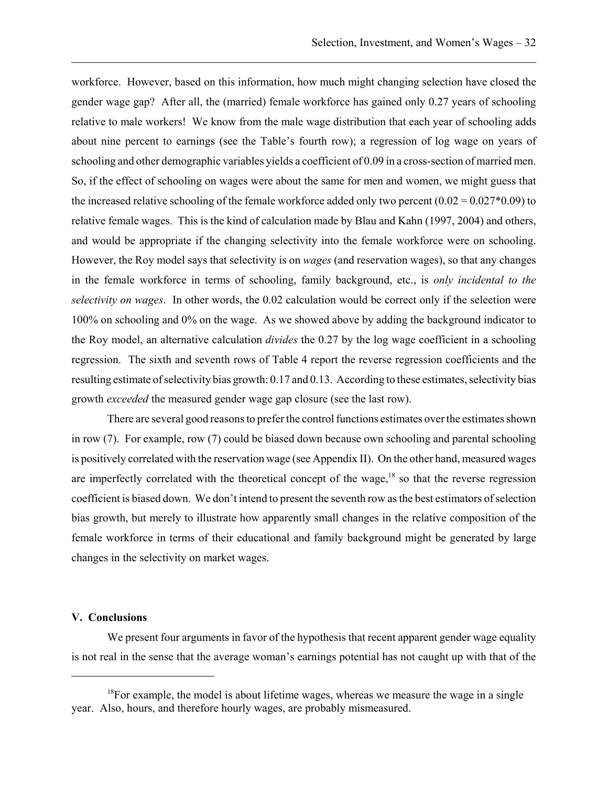workforce. However, based on this information, how much might changing selection have closed the gender wage gap? After all, the (married) female workforce has gained only 0.27 years of schooling relative to male workers! We know from the male wage distribution that each year of schooling adds about nine percent to earnings (see the Table's fourth row); a regression of log wage on years of schooling and other demographic variables yields a coefficient of 0.09 in a cross-section of married men. So, if the effect of schooling on wages were about the same for men and women, we might guess that the increased relative schooling of the female workforce added only two percent  $(0.02 = 0.027*0.09)$  to relative female wages. This is the kind of calculation made by Blau and Kahn (1997, 2004) and others, and would be appropriate if the changing selectivity into the female workforce were on schooling. However, the Roy model says that selectivity is on *wages* (and reservation wages), so that any changes in the female workforce in terms of schooling, family background, etc., is *only incidental to the selectivity on wages*. In other words, the 0.02 calculation would be correct only if the selection were 100% on schooling and 0% on the wage. As we showed above by adding the background indicator to the Roy model, an alternative calculation *divides* the 0.27 by the log wage coefficient in a schooling regression. The sixth and seventh rows of Table 4 report the reverse regression coefficients and the resulting estimate of selectivity bias growth: 0.17 and 0.13. According to these estimates, selectivity bias growth *exceeded* the measured gender wage gap closure (see the last row).

There are several good reasons to prefer the control functions estimates over the estimates shown in row (7). For example, row (7) could be biased down because own schooling and parental schooling is positively correlated with the reservation wage (see Appendix II). On the other hand, measured wages are imperfectly correlated with the theoretical concept of the wage,<sup>18</sup> so that the reverse regression coefficient is biased down. We don't intend to present the seventh row as the best estimators of selection bias growth, but merely to illustrate how apparently small changes in the relative composition of the female workforce in terms of their educational and family background might be generated by large changes in the selectivity on market wages.

### **V. Conclusions**

We present four arguments in favor of the hypothesis that recent apparent gender wage equality is not real in the sense that the average woman's earnings potential has not caught up with that of the

 $18$ For example, the model is about lifetime wages, whereas we measure the wage in a single year. Also, hours, and therefore hourly wages, are probably mismeasured.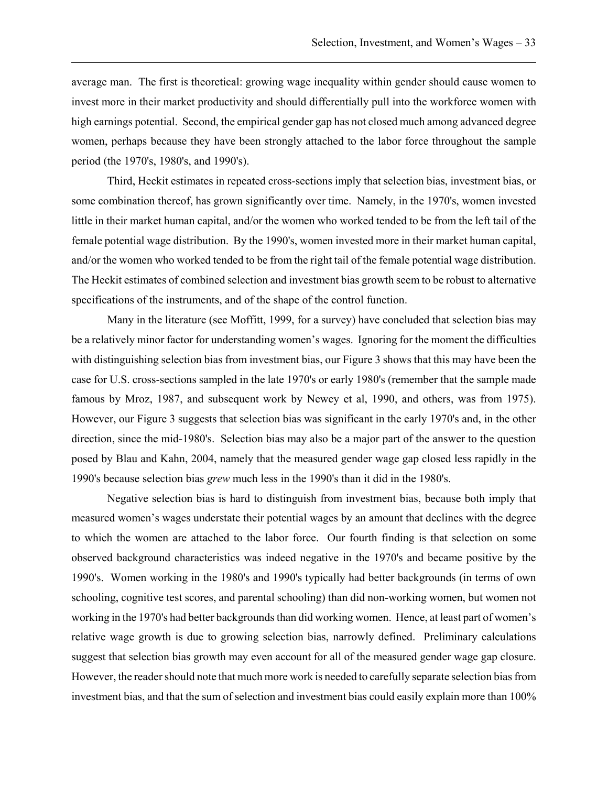average man. The first is theoretical: growing wage inequality within gender should cause women to invest more in their market productivity and should differentially pull into the workforce women with high earnings potential. Second, the empirical gender gap has not closed much among advanced degree women, perhaps because they have been strongly attached to the labor force throughout the sample period (the 1970's, 1980's, and 1990's).

Third, Heckit estimates in repeated cross-sections imply that selection bias, investment bias, or some combination thereof, has grown significantly over time. Namely, in the 1970's, women invested little in their market human capital, and/or the women who worked tended to be from the left tail of the female potential wage distribution. By the 1990's, women invested more in their market human capital, and/or the women who worked tended to be from the right tail of the female potential wage distribution. The Heckit estimates of combined selection and investment bias growth seem to be robust to alternative specifications of the instruments, and of the shape of the control function.

Many in the literature (see Moffitt, 1999, for a survey) have concluded that selection bias may be a relatively minor factor for understanding women's wages. Ignoring for the moment the difficulties with distinguishing selection bias from investment bias, our Figure 3 shows that this may have been the case for U.S. cross-sections sampled in the late 1970's or early 1980's (remember that the sample made famous by Mroz, 1987, and subsequent work by Newey et al, 1990, and others, was from 1975). However, our Figure 3 suggests that selection bias was significant in the early 1970's and, in the other direction, since the mid-1980's. Selection bias may also be a major part of the answer to the question posed by Blau and Kahn, 2004, namely that the measured gender wage gap closed less rapidly in the 1990's because selection bias *grew* much less in the 1990's than it did in the 1980's.

Negative selection bias is hard to distinguish from investment bias, because both imply that measured women's wages understate their potential wages by an amount that declines with the degree to which the women are attached to the labor force. Our fourth finding is that selection on some observed background characteristics was indeed negative in the 1970's and became positive by the 1990's. Women working in the 1980's and 1990's typically had better backgrounds (in terms of own schooling, cognitive test scores, and parental schooling) than did non-working women, but women not working in the 1970's had better backgrounds than did working women. Hence, at least part of women's relative wage growth is due to growing selection bias, narrowly defined. Preliminary calculations suggest that selection bias growth may even account for all of the measured gender wage gap closure. However, the reader should note that much more work is needed to carefully separate selection bias from investment bias, and that the sum of selection and investment bias could easily explain more than 100%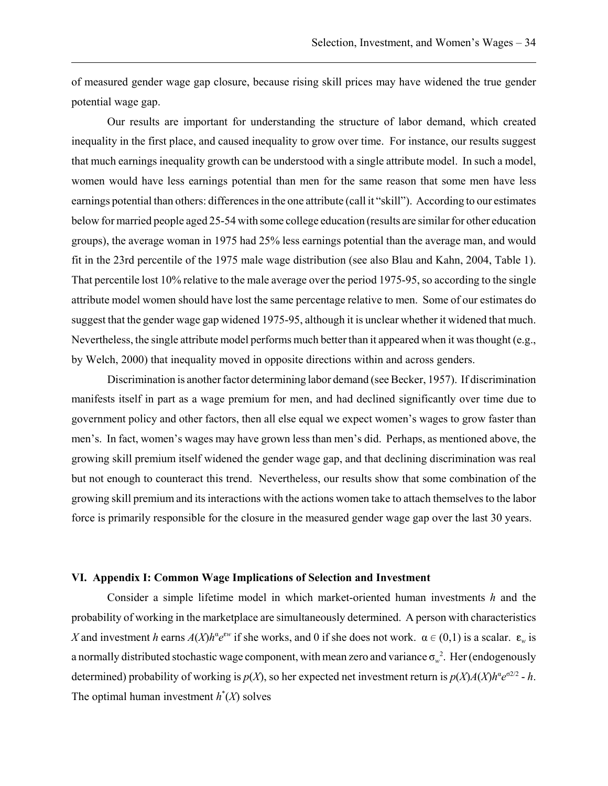of measured gender wage gap closure, because rising skill prices may have widened the true gender potential wage gap.

Our results are important for understanding the structure of labor demand, which created inequality in the first place, and caused inequality to grow over time. For instance, our results suggest that much earnings inequality growth can be understood with a single attribute model. In such a model, women would have less earnings potential than men for the same reason that some men have less earnings potential than others: differences in the one attribute (call it "skill"). According to our estimates below for married people aged 25-54 with some college education (results are similar for other education groups), the average woman in 1975 had 25% less earnings potential than the average man, and would fit in the 23rd percentile of the 1975 male wage distribution (see also Blau and Kahn, 2004, Table 1). That percentile lost 10% relative to the male average over the period 1975-95, so according to the single attribute model women should have lost the same percentage relative to men. Some of our estimates do suggest that the gender wage gap widened 1975-95, although it is unclear whether it widened that much. Nevertheless, the single attribute model performs much better than it appeared when it was thought (e.g., by Welch, 2000) that inequality moved in opposite directions within and across genders.

Discrimination is another factor determining labor demand (see Becker, 1957). If discrimination manifests itself in part as a wage premium for men, and had declined significantly over time due to government policy and other factors, then all else equal we expect women's wages to grow faster than men's. In fact, women's wages may have grown less than men's did. Perhaps, as mentioned above, the growing skill premium itself widened the gender wage gap, and that declining discrimination was real but not enough to counteract this trend. Nevertheless, our results show that some combination of the growing skill premium and its interactions with the actions women take to attach themselves to the labor force is primarily responsible for the closure in the measured gender wage gap over the last 30 years.

### **VI. Appendix I: Common Wage Implications of Selection and Investment**

Consider a simple lifetime model in which market-oriented human investments *h* and the probability of working in the marketplace are simultaneously determined. A person with characteristics *X* and investment *h* earns  $A(X)h^{\alpha}e^{\epsilon w}$  if she works, and 0 if she does not work.  $\alpha \in (0,1)$  is a scalar.  $\epsilon_w$  is a normally distributed stochastic wage component, with mean zero and variance  $\sigma_w^2$ . Her (endogenously determined) probability of working is  $p(X)$ , so her expected net investment return is  $p(X)A(X)h^{\alpha}e^{\sigma^2/2}$  - h. The optimal human investment  $h^*(X)$  solves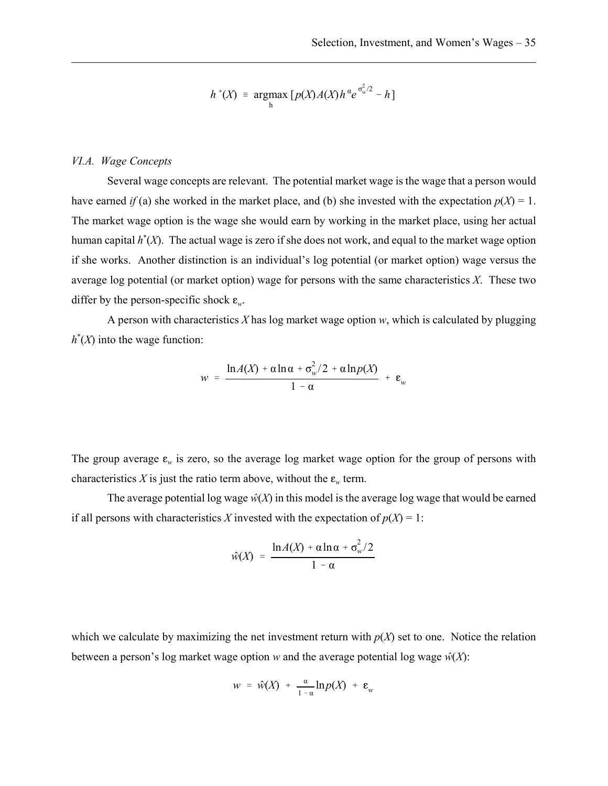$$
h^*(X) = \underset{h}{\operatorname{argmax}} \left[ p(X)A(X)h^{\alpha}e^{\sigma_w^2/2} - h \right]
$$

### *VI.A. Wage Concepts*

Several wage concepts are relevant. The potential market wage is the wage that a person would have earned *if* (a) she worked in the market place, and (b) she invested with the expectation  $p(X) = 1$ . The market wage option is the wage she would earn by working in the market place, using her actual human capital *h*\* (*X*). The actual wage is zero if she does not work, and equal to the market wage option if she works. Another distinction is an individual's log potential (or market option) wage versus the average log potential (or market option) wage for persons with the same characteristics *X*. These two differ by the person-specific shock  $\varepsilon_w$ .

A person with characteristics *X* has log market wage option *w*, which is calculated by plugging  $h^*(X)$  into the wage function:

$$
w = \frac{\ln A(X) + \alpha \ln \alpha + \sigma_w^2/2 + \alpha \ln p(X)}{1 - \alpha} + \varepsilon_w
$$

The group average  $\varepsilon_w$  is zero, so the average log market wage option for the group of persons with characteristics *X* is just the ratio term above, without the  $\varepsilon_w$  term.

The average potential log wage  $\hat{w}(X)$  in this model is the average log wage that would be earned if all persons with characteristics *X* invested with the expectation of  $p(X) = 1$ :

$$
\hat{w}(X) = \frac{\ln A(X) + \alpha \ln \alpha + \sigma_w^2/2}{1 - \alpha}
$$

which we calculate by maximizing the net investment return with  $p(X)$  set to one. Notice the relation between a person's log market wage option *w* and the average potential log wage  $\hat{w}(X)$ :

$$
w = \hat{w}(X) + \frac{\alpha}{1-\alpha} \ln p(X) + \varepsilon_w
$$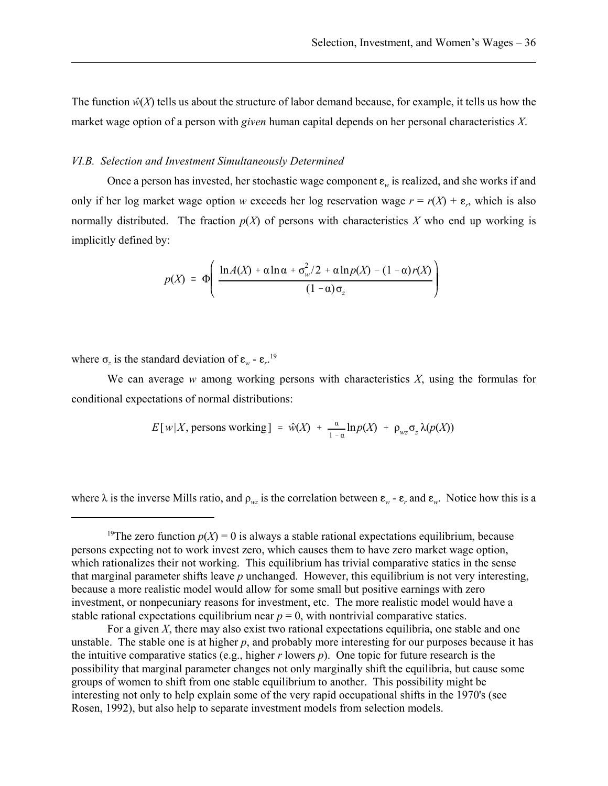The function  $\hat{w}(X)$  tells us about the structure of labor demand because, for example, it tells us how the market wage option of a person with *given* human capital depends on her personal characteristics *X*.

### *VI.B. Selection and Investment Simultaneously Determined*

Once a person has invested, her stochastic wage component  $\varepsilon_w$  is realized, and she works if and only if her log market wage option *w* exceeds her log reservation wage  $r = r(X) + \varepsilon_r$ , which is also normally distributed. The fraction  $p(X)$  of persons with characteristics X who end up working is implicitly defined by:

$$
p(X) = \Phi\left(\frac{\ln A(X) + \alpha \ln \alpha + \sigma_w^2/2 + \alpha \ln p(X) - (1 - \alpha)r(X)}{(1 - \alpha)\sigma_z}\right)
$$

where  $\sigma_z$  is the standard deviation of  $\varepsilon_w$  -  $\varepsilon_r$ <sup>19</sup>

We can average *w* among working persons with characteristics *X*, using the formulas for conditional expectations of normal distributions:

$$
E[w|X, \text{ persons working}] = \hat{w}(X) + \frac{\alpha}{1-\alpha} \ln p(X) + \rho_{wz} \sigma_z \lambda(p(X))
$$

where  $\lambda$  is the inverse Mills ratio, and  $\rho_{wz}$  is the correlation between  $\varepsilon_w$  -  $\varepsilon_r$  and  $\varepsilon_w$ . Notice how this is a

<sup>&</sup>lt;sup>19</sup>The zero function  $p(X) = 0$  is always a stable rational expectations equilibrium, because persons expecting not to work invest zero, which causes them to have zero market wage option, which rationalizes their not working. This equilibrium has trivial comparative statics in the sense that marginal parameter shifts leave *p* unchanged. However, this equilibrium is not very interesting, because a more realistic model would allow for some small but positive earnings with zero investment, or nonpecuniary reasons for investment, etc. The more realistic model would have a stable rational expectations equilibrium near  $p = 0$ , with nontrivial comparative statics.

For a given *X*, there may also exist two rational expectations equilibria, one stable and one unstable. The stable one is at higher *p*, and probably more interesting for our purposes because it has the intuitive comparative statics (e.g., higher  $r$  lowers  $p$ ). One topic for future research is the possibility that marginal parameter changes not only marginally shift the equilibria, but cause some groups of women to shift from one stable equilibrium to another. This possibility might be interesting not only to help explain some of the very rapid occupational shifts in the 1970's (see Rosen, 1992), but also help to separate investment models from selection models.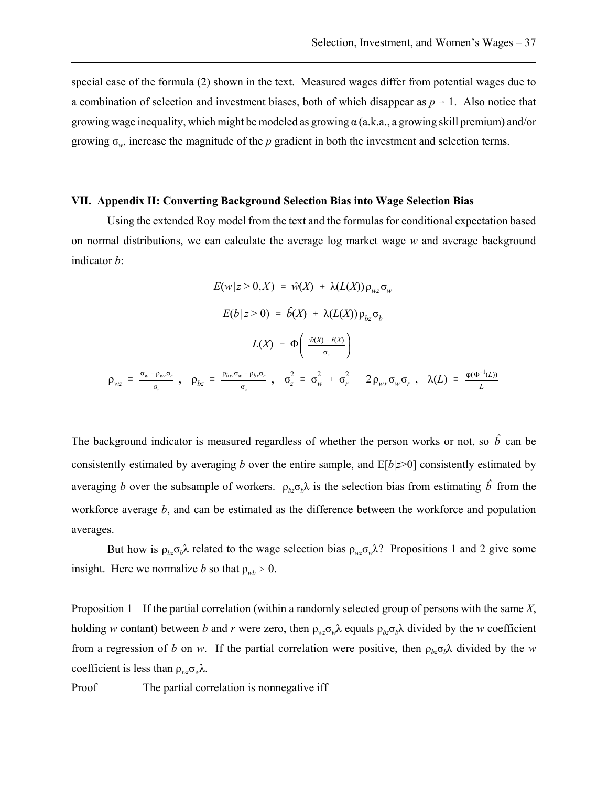special case of the formula (2) shown in the text. Measured wages differ from potential wages due to a combination of selection and investment biases, both of which disappear as  $p \rightarrow 1$ . Also notice that growing wage inequality, which might be modeled as growing  $\alpha$  (a.k.a., a growing skill premium) and/or growing  $\sigma_w$ , increase the magnitude of the *p* gradient in both the investment and selection terms.

#### **VII. Appendix II: Converting Background Selection Bias into Wage Selection Bias**

Using the extended Roy model from the text and the formulas for conditional expectation based on normal distributions, we can calculate the average log market wage *w* and average background indicator *b*:

$$
E(w|z > 0, X) = \hat{w}(X) + \lambda(L(X)) \rho_{wz} \sigma_w
$$

$$
E(b|z > 0) = \hat{b}(X) + \lambda(L(X)) \rho_{bz} \sigma_b
$$

$$
L(X) = \Phi\left(\frac{\hat{w}(X) - \hat{r}(X)}{\sigma_z}\right)
$$

$$
\rho_{wz} = \frac{\sigma_w - \rho_{wr} \sigma_r}{\sigma_z}, \quad \rho_{bz} = \frac{\rho_{bw} \sigma_w - \rho_{bz} \sigma_r}{\sigma_z}, \quad \sigma_z^2 = \sigma_w^2 + \sigma_r^2 - 2\rho_{wr} \sigma_w \sigma_r, \quad \lambda(L) = \frac{\phi(\Phi^{-1}(L))}{L}
$$

The background indicator is measured regardless of whether the person works or not, so  $\hat{b}$  can be consistently estimated by averaging *b* over the entire sample, and E[*b*|*z*>0] consistently estimated by averaging *b* over the subsample of workers.  $\rho_b \sigma_b \lambda$  is the selection bias from estimating  $\hat{b}$  from the workforce average *b*, and can be estimated as the difference between the workforce and population averages.

But how is  $\rho_{bz}\sigma_b\lambda$  related to the wage selection bias  $\rho_{wz}\sigma_w\lambda$ ? Propositions 1 and 2 give some insight. Here we normalize *b* so that  $\rho_{wb} \ge 0$ .

Proposition 1 If the partial correlation (within a randomly selected group of persons with the same *X*, holding *w* contant) between *b* and *r* were zero, then  $\rho_{wz}\sigma_w\lambda$  equals  $\rho_{bz}\sigma_b\lambda$  divided by the *w* coefficient from a regression of *b* on *w*. If the partial correlation were positive, then  $\rho_{hz}\sigma_h\lambda$  divided by the *w* coefficient is less than ρ*wz*σ*w*λ.

Proof The partial correlation is nonnegative iff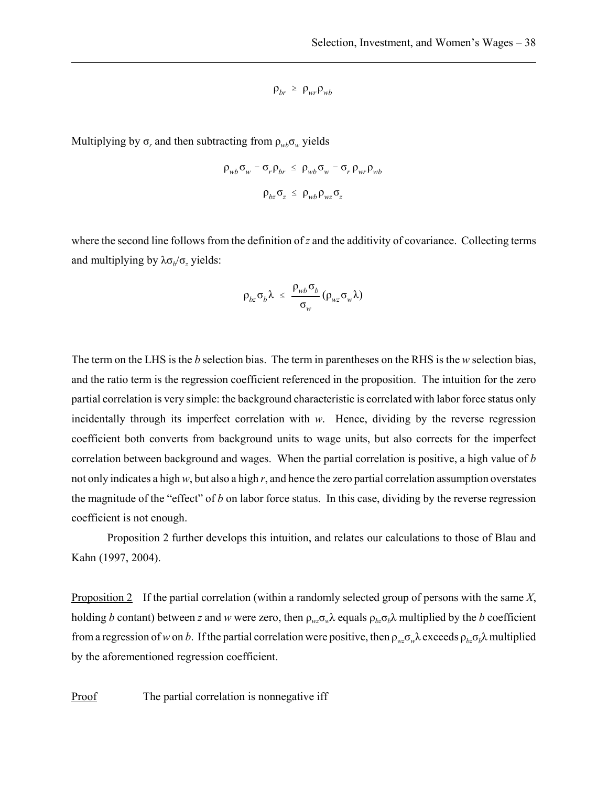$$
\rho_{br} \ge \rho_{wr} \rho_{wb}
$$

Multiplying by  $\sigma_r$  and then subtracting from  $\rho_{wb}\sigma_w$  yields

$$
\rho_{wb} \sigma_w - \sigma_r \rho_{br} \le \rho_{wb} \sigma_w - \sigma_r \rho_{wr} \rho_{wb}
$$

$$
\rho_{bz} \sigma_z \le \rho_{wb} \rho_{wz} \sigma_z
$$

where the second line follows from the definition of *z* and the additivity of covariance. Collecting terms and multiplying by  $\lambda \sigma_b / \sigma_z$  yields:

$$
\rho_{bz}\sigma_b\lambda \leq \frac{\rho_{wb}\sigma_b}{\sigma_w}(\rho_{wz}\sigma_w\lambda)
$$

The term on the LHS is the *b* selection bias. The term in parentheses on the RHS is the *w* selection bias, and the ratio term is the regression coefficient referenced in the proposition. The intuition for the zero partial correlation is very simple: the background characteristic is correlated with labor force status only incidentally through its imperfect correlation with *w*. Hence, dividing by the reverse regression coefficient both converts from background units to wage units, but also corrects for the imperfect correlation between background and wages. When the partial correlation is positive, a high value of *b* not only indicates a high *w*, but also a high *r*, and hence the zero partial correlation assumption overstates the magnitude of the "effect" of *b* on labor force status. In this case, dividing by the reverse regression coefficient is not enough.

Proposition 2 further develops this intuition, and relates our calculations to those of Blau and Kahn (1997, 2004).

Proposition 2 If the partial correlation (within a randomly selected group of persons with the same *X*, holding *b* contant) between *z* and *w* were zero, then  $\rho_{wz} \sigma_w \lambda$  equals  $\rho_{bz} \sigma_b \lambda$  multiplied by the *b* coefficient from a regression of *w* on *b*. If the partial correlation were positive, then  $\rho_{wz} \sigma_w \lambda$  exceeds  $\rho_{bz} \sigma_b \lambda$  multiplied by the aforementioned regression coefficient.

Proof The partial correlation is nonnegative iff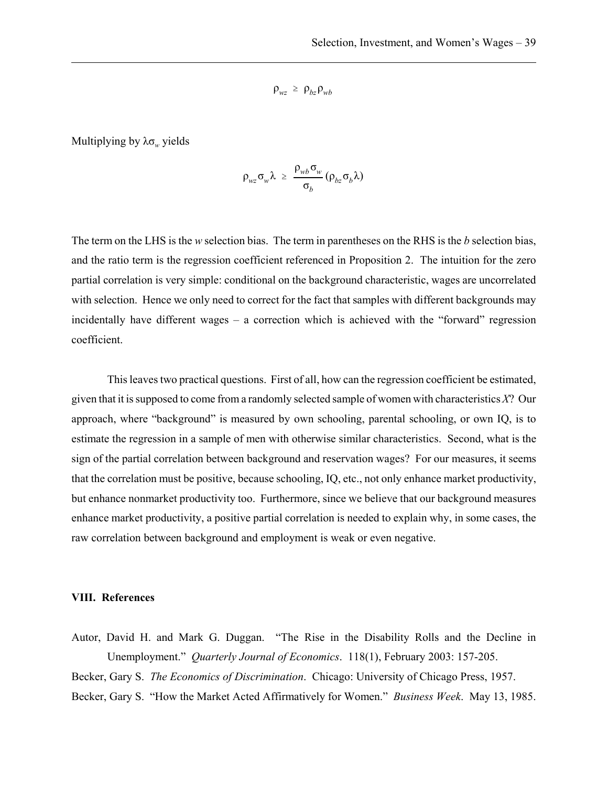$$
\rho_{wz} \ \geq \ \rho_{bz} \rho_{wb}
$$

Multiplying by  $\lambda \sigma_w$  yields

$$
\rho_{wz}\sigma_w\lambda \geq \frac{\rho_{wb}\sigma_w}{\sigma_b}(\rho_{bz}\sigma_b\lambda)
$$

The term on the LHS is the *w* selection bias. The term in parentheses on the RHS is the *b* selection bias, and the ratio term is the regression coefficient referenced in Proposition 2. The intuition for the zero partial correlation is very simple: conditional on the background characteristic, wages are uncorrelated with selection. Hence we only need to correct for the fact that samples with different backgrounds may incidentally have different wages – a correction which is achieved with the "forward" regression coefficient.

This leaves two practical questions. First of all, how can the regression coefficient be estimated, given that it is supposed to come from a randomly selected sample of women with characteristics *X*? Our approach, where "background" is measured by own schooling, parental schooling, or own IQ, is to estimate the regression in a sample of men with otherwise similar characteristics. Second, what is the sign of the partial correlation between background and reservation wages? For our measures, it seems that the correlation must be positive, because schooling, IQ, etc., not only enhance market productivity, but enhance nonmarket productivity too. Furthermore, since we believe that our background measures enhance market productivity, a positive partial correlation is needed to explain why, in some cases, the raw correlation between background and employment is weak or even negative.

#### **VIII. References**

Autor, David H. and Mark G. Duggan. "The Rise in the Disability Rolls and the Decline in Unemployment." *Quarterly Journal of Economics*. 118(1), February 2003: 157-205.

Becker, Gary S. *The Economics of Discrimination*. Chicago: University of Chicago Press, 1957.

Becker, Gary S. "How the Market Acted Affirmatively for Women." *Business Week*. May 13, 1985.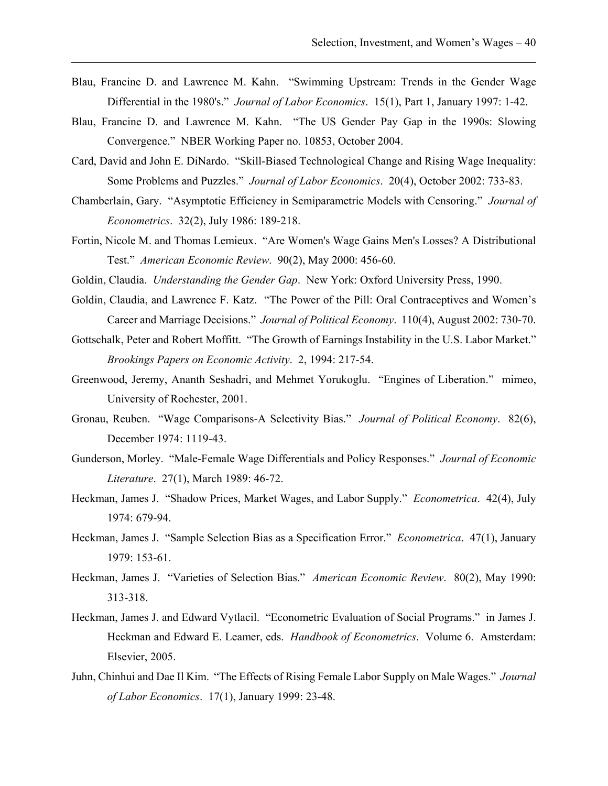- Blau, Francine D. and Lawrence M. Kahn. "Swimming Upstream: Trends in the Gender Wage Differential in the 1980's." *Journal of Labor Economics*. 15(1), Part 1, January 1997: 1-42.
- Blau, Francine D. and Lawrence M. Kahn. "The US Gender Pay Gap in the 1990s: Slowing Convergence." NBER Working Paper no. 10853, October 2004.
- Card, David and John E. DiNardo. "Skill-Biased Technological Change and Rising Wage Inequality: Some Problems and Puzzles." *Journal of Labor Economics*. 20(4), October 2002: 733-83.
- Chamberlain, Gary. "Asymptotic Efficiency in Semiparametric Models with Censoring." *Journal of Econometrics*. 32(2), July 1986: 189-218.
- Fortin, Nicole M. and Thomas Lemieux. "Are Women's Wage Gains Men's Losses? A Distributional Test." *American Economic Review*. 90(2), May 2000: 456-60.
- Goldin, Claudia. *Understanding the Gender Gap*. New York: Oxford University Press, 1990.
- Goldin, Claudia, and Lawrence F. Katz. "The Power of the Pill: Oral Contraceptives and Women's Career and Marriage Decisions." *Journal of Political Economy*. 110(4), August 2002: 730-70.
- Gottschalk, Peter and Robert Moffitt. "The Growth of Earnings Instability in the U.S. Labor Market." *Brookings Papers on Economic Activity*. 2, 1994: 217-54.
- Greenwood, Jeremy, Ananth Seshadri, and Mehmet Yorukoglu. "Engines of Liberation." mimeo, University of Rochester, 2001.
- Gronau, Reuben. "Wage Comparisons-A Selectivity Bias." *Journal of Political Economy*. 82(6), December 1974: 1119-43.
- Gunderson, Morley. "Male-Female Wage Differentials and Policy Responses." *Journal of Economic Literature*. 27(1), March 1989: 46-72.
- Heckman, James J. "Shadow Prices, Market Wages, and Labor Supply." *Econometrica*. 42(4), July 1974: 679-94.
- Heckman, James J. "Sample Selection Bias as a Specification Error." *Econometrica*. 47(1), January 1979: 153-61.
- Heckman, James J. "Varieties of Selection Bias." *American Economic Review*. 80(2), May 1990: 313-318.
- Heckman, James J. and Edward Vytlacil. "Econometric Evaluation of Social Programs." in James J. Heckman and Edward E. Leamer, eds. *Handbook of Econometrics*. Volume 6. Amsterdam: Elsevier, 2005.
- Juhn, Chinhui and Dae Il Kim. "The Effects of Rising Female Labor Supply on Male Wages." *Journal of Labor Economics*. 17(1), January 1999: 23-48.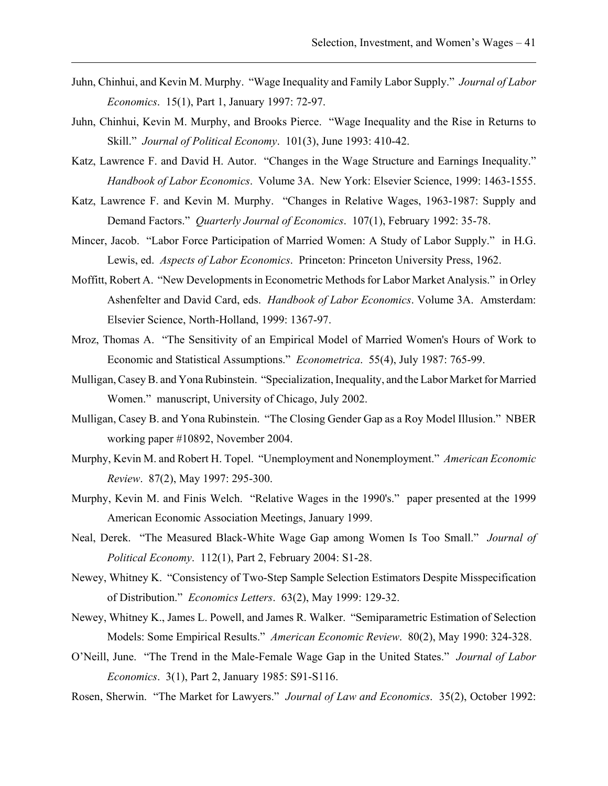- Juhn, Chinhui, and Kevin M. Murphy. "Wage Inequality and Family Labor Supply." *Journal of Labor Economics*. 15(1), Part 1, January 1997: 72-97.
- Juhn, Chinhui, Kevin M. Murphy, and Brooks Pierce. "Wage Inequality and the Rise in Returns to Skill." *Journal of Political Economy*. 101(3), June 1993: 410-42.
- Katz, Lawrence F. and David H. Autor. "Changes in the Wage Structure and Earnings Inequality." *Handbook of Labor Economics*. Volume 3A. New York: Elsevier Science, 1999: 1463-1555.
- Katz, Lawrence F. and Kevin M. Murphy. "Changes in Relative Wages, 1963-1987: Supply and Demand Factors." *Quarterly Journal of Economics*. 107(1), February 1992: 35-78.
- Mincer, Jacob. "Labor Force Participation of Married Women: A Study of Labor Supply." in H.G. Lewis, ed. *Aspects of Labor Economics*. Princeton: Princeton University Press, 1962.
- Moffitt, Robert A. "New Developments in Econometric Methods for Labor Market Analysis." in Orley Ashenfelter and David Card, eds. *Handbook of Labor Economics*. Volume 3A. Amsterdam: Elsevier Science, North-Holland, 1999: 1367-97.
- Mroz, Thomas A. "The Sensitivity of an Empirical Model of Married Women's Hours of Work to Economic and Statistical Assumptions." *Econometrica*. 55(4), July 1987: 765-99.
- Mulligan, Casey B. and Yona Rubinstein. "Specialization, Inequality, and the Labor Market for Married Women." manuscript, University of Chicago, July 2002.
- Mulligan, Casey B. and Yona Rubinstein. "The Closing Gender Gap as a Roy Model Illusion." NBER working paper #10892, November 2004.
- Murphy, Kevin M. and Robert H. Topel. "Unemployment and Nonemployment." *American Economic Review*. 87(2), May 1997: 295-300.
- Murphy, Kevin M. and Finis Welch. "Relative Wages in the 1990's." paper presented at the 1999 American Economic Association Meetings, January 1999.
- Neal, Derek. "The Measured Black-White Wage Gap among Women Is Too Small." *Journal of Political Economy*. 112(1), Part 2, February 2004: S1-28.
- Newey, Whitney K. "Consistency of Two-Step Sample Selection Estimators Despite Misspecification of Distribution." *Economics Letters*. 63(2), May 1999: 129-32.
- Newey, Whitney K., James L. Powell, and James R. Walker. "Semiparametric Estimation of Selection Models: Some Empirical Results." *American Economic Review*. 80(2), May 1990: 324-328.
- O'Neill, June. "The Trend in the Male-Female Wage Gap in the United States." *Journal of Labor Economics*. 3(1), Part 2, January 1985: S91-S116.
- Rosen, Sherwin. "The Market for Lawyers." *Journal of Law and Economics*. 35(2), October 1992: